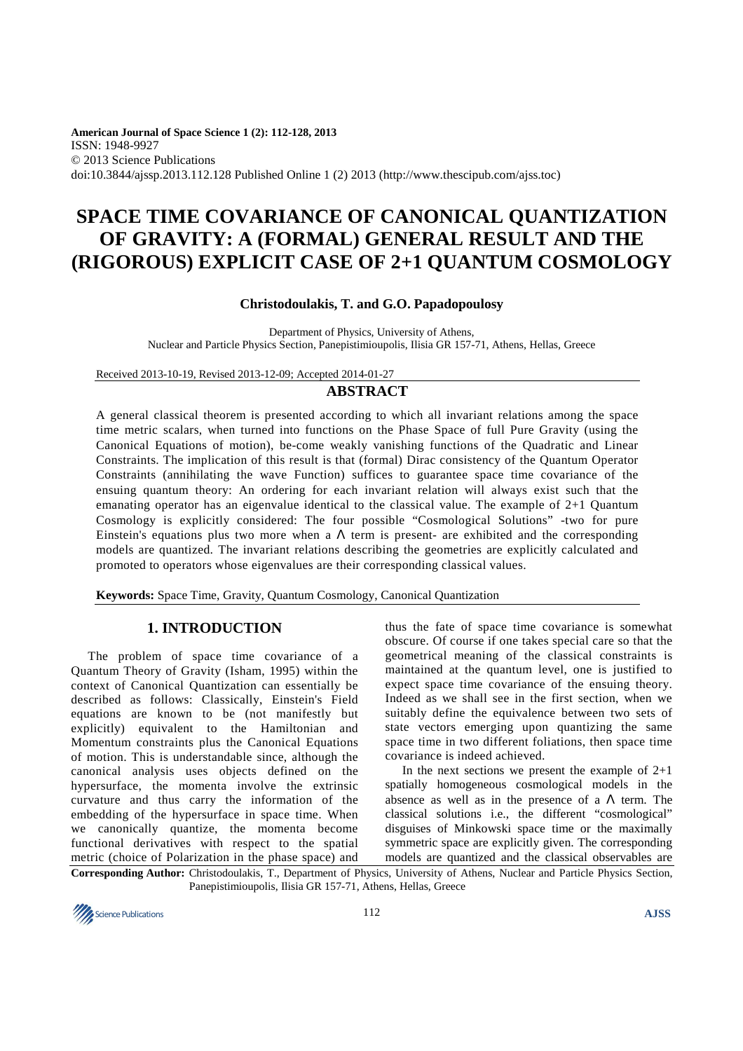**American Journal of Space Science 1 (2): 112-128, 2013**  ISSN: 1948-9927 © 2013 Science Publications doi:10.3844/ajssp.2013.112.128 Published Online 1 (2) 2013 (http://www.thescipub.com/ajss.toc)

# **SPACE TIME COVARIANCE OF CANONICAL QUANTIZATION OF GRAVITY: A (FORMAL) GENERAL RESULT AND THE (RIGOROUS) EXPLICIT CASE OF 2+1 QUANTUM COSMOLOGY**

# **Christodoulakis, T. and G.O. Papadopoulosy**

Department of Physics, University of Athens,

Nuclear and Particle Physics Section, Panepistimioupolis, Ilisia GR 157-71, Athens, Hellas, Greece

Received 2013-10-19, Revised 2013-12-09; Accepted 2014-01-27

# **ABSTRACT**

A general classical theorem is presented according to which all invariant relations among the space time metric scalars, when turned into functions on the Phase Space of full Pure Gravity (using the Canonical Equations of motion), be-come weakly vanishing functions of the Quadratic and Linear Constraints. The implication of this result is that (formal) Dirac consistency of the Quantum Operator Constraints (annihilating the wave Function) suffices to guarantee space time covariance of the ensuing quantum theory: An ordering for each invariant relation will always exist such that the emanating operator has an eigenvalue identical to the classical value. The example of 2+1 Quantum Cosmology is explicitly considered: The four possible "Cosmological Solutions" -two for pure Einstein's equations plus two more when a  $\Lambda$  term is present- are exhibited and the corresponding models are quantized. The invariant relations describing the geometries are explicitly calculated and promoted to operators whose eigenvalues are their corresponding classical values.

**Keywords:** Space Time, Gravity, Quantum Cosmology, Canonical Quantization

### **1. INTRODUCTION**

The problem of space time covariance of a Quantum Theory of Gravity (Isham, 1995) within the context of Canonical Quantization can essentially be described as follows: Classically, Einstein's Field equations are known to be (not manifestly but explicitly) equivalent to the Hamiltonian and Momentum constraints plus the Canonical Equations of motion. This is understandable since, although the canonical analysis uses objects defined on the hypersurface, the momenta involve the extrinsic curvature and thus carry the information of the embedding of the hypersurface in space time. When we canonically quantize, the momenta become functional derivatives with respect to the spatial metric (choice of Polarization in the phase space) and

thus the fate of space time covariance is somewhat obscure. Of course if one takes special care so that the geometrical meaning of the classical constraints is maintained at the quantum level, one is justified to expect space time covariance of the ensuing theory. Indeed as we shall see in the first section, when we suitably define the equivalence between two sets of state vectors emerging upon quantizing the same space time in two different foliations, then space time covariance is indeed achieved.

In the next sections we present the example of  $2+1$ spatially homogeneous cosmological models in the absence as well as in the presence of a  $\Lambda$  term. The classical solutions i.e., the different "cosmological" disguises of Minkowski space time or the maximally symmetric space are explicitly given. The corresponding models are quantized and the classical observables are

**Corresponding Author:** Christodoulakis, T., Department of Physics, University of Athens, Nuclear and Particle Physics Section, Panepistimioupolis, Ilisia GR 157-71, Athens, Hellas, Greece

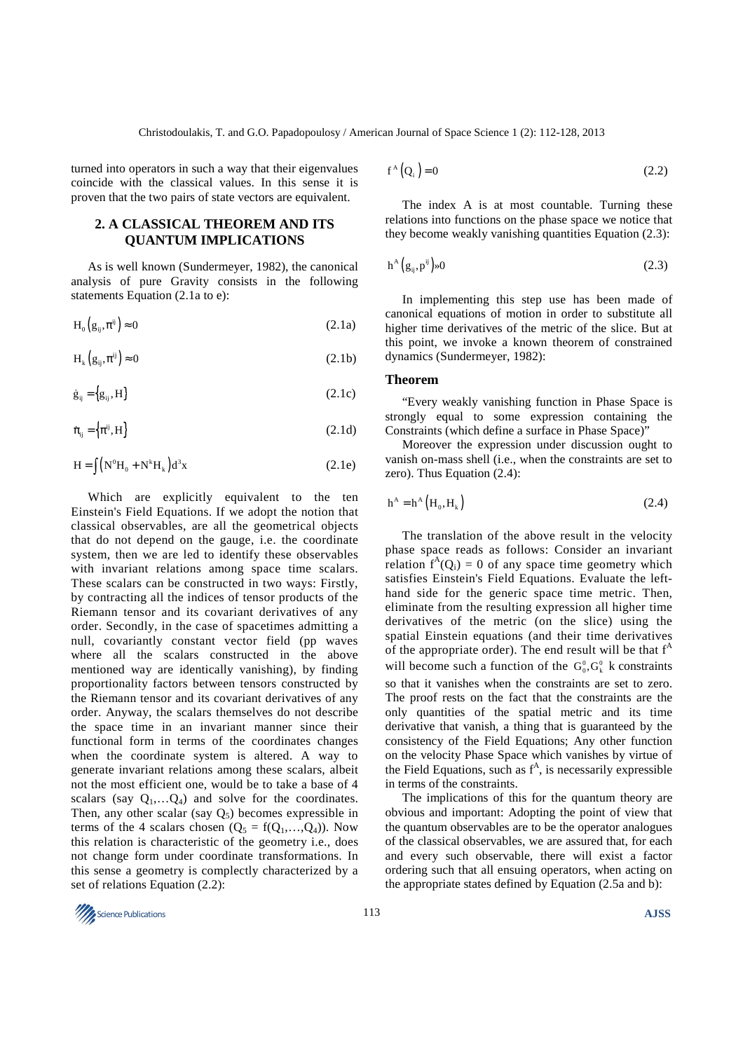turned into operators in such a way that their eigenvalues coincide with the classical values. In this sense it is proven that the two pairs of state vectors are equivalent.

### **2. A CLASSICAL THEOREM AND ITS QUANTUM IMPLICATIONS**

As is well known (Sundermeyer, 1982), the canonical analysis of pure Gravity consists in the following statements Equation (2.1a to e):

 $H_0(g_{ij}, \pi^{ij}) \approx 0$  (2.1a)

$$
H_k(g_{ij}, \pi^{ij}) \approx 0 \tag{2.1b}
$$

$$
\dot{g}_{ij} = \{g_{ij}, H\}
$$
 (2.1c)

$$
\dot{\pi}_{ij} = \left\{ \pi^{ij}, H \right\} \tag{2.1d}
$$

$$
H = \int (N^0 H_0 + N^k H_k) d^3x \qquad (2.1e)
$$

Which are explicitly equivalent to the ten Einstein's Field Equations. If we adopt the notion that classical observables, are all the geometrical objects that do not depend on the gauge, i.e. the coordinate system, then we are led to identify these observables with invariant relations among space time scalars. These scalars can be constructed in two ways: Firstly, by contracting all the indices of tensor products of the Riemann tensor and its covariant derivatives of any order. Secondly, in the case of spacetimes admitting a null, covariantly constant vector field (pp waves where all the scalars constructed in the above mentioned way are identically vanishing), by finding proportionality factors between tensors constructed by the Riemann tensor and its covariant derivatives of any order. Anyway, the scalars themselves do not describe the space time in an invariant manner since their functional form in terms of the coordinates changes when the coordinate system is altered. A way to generate invariant relations among these scalars, albeit not the most efficient one, would be to take a base of 4 scalars (say  $Q_1, \ldots, Q_4$ ) and solve for the coordinates. Then, any other scalar (say  $Q_5$ ) becomes expressible in terms of the 4 scalars chosen  $(Q_5 = f(Q_1,...,Q_4))$ . Now this relation is characteristic of the geometry i.e., does not change form under coordinate transformations. In this sense a geometry is complectly characterized by a set of relations Equation (2.2):

$$
f^{\mathcal{A}}\big(Q_{i}\big)=0\tag{2.2}
$$

The index A is at most countable. Turning these relations into functions on the phase space we notice that they become weakly vanishing quantities Equation (2.3):

$$
h^A(g_{ij}, p^{ij}) \gg 0 \tag{2.3}
$$

In implementing this step use has been made of canonical equations of motion in order to substitute all higher time derivatives of the metric of the slice. But at this point, we invoke a known theorem of constrained dynamics (Sundermeyer, 1982):

#### **Theorem**

"Every weakly vanishing function in Phase Space is strongly equal to some expression containing the Constraints (which define a surface in Phase Space)"

Moreover the expression under discussion ought to vanish on-mass shell (i.e., when the constraints are set to zero). Thus Equation (2.4):

$$
h^A = h^A \left( H_0, H_k \right) \tag{2.4}
$$

The translation of the above result in the velocity phase space reads as follows: Consider an invariant relation  $f^A(Q_i) = 0$  of any space time geometry which satisfies Einstein's Field Equations. Evaluate the lefthand side for the generic space time metric. Then, eliminate from the resulting expression all higher time derivatives of the metric (on the slice) using the spatial Einstein equations (and their time derivatives of the appropriate order). The end result will be that  $f^A$ will become such a function of the  $G_0^0, G_k^0$  k constraints so that it vanishes when the constraints are set to zero. The proof rests on the fact that the constraints are the only quantities of the spatial metric and its time derivative that vanish, a thing that is guaranteed by the consistency of the Field Equations; Any other function on the velocity Phase Space which vanishes by virtue of the Field Equations, such as  $f<sup>A</sup>$ , is necessarily expressible in terms of the constraints.

The implications of this for the quantum theory are obvious and important: Adopting the point of view that the quantum observables are to be the operator analogues of the classical observables, we are assured that, for each and every such observable, there will exist a factor ordering such that all ensuing operators, when acting on the appropriate states defined by Equation (2.5a and b):

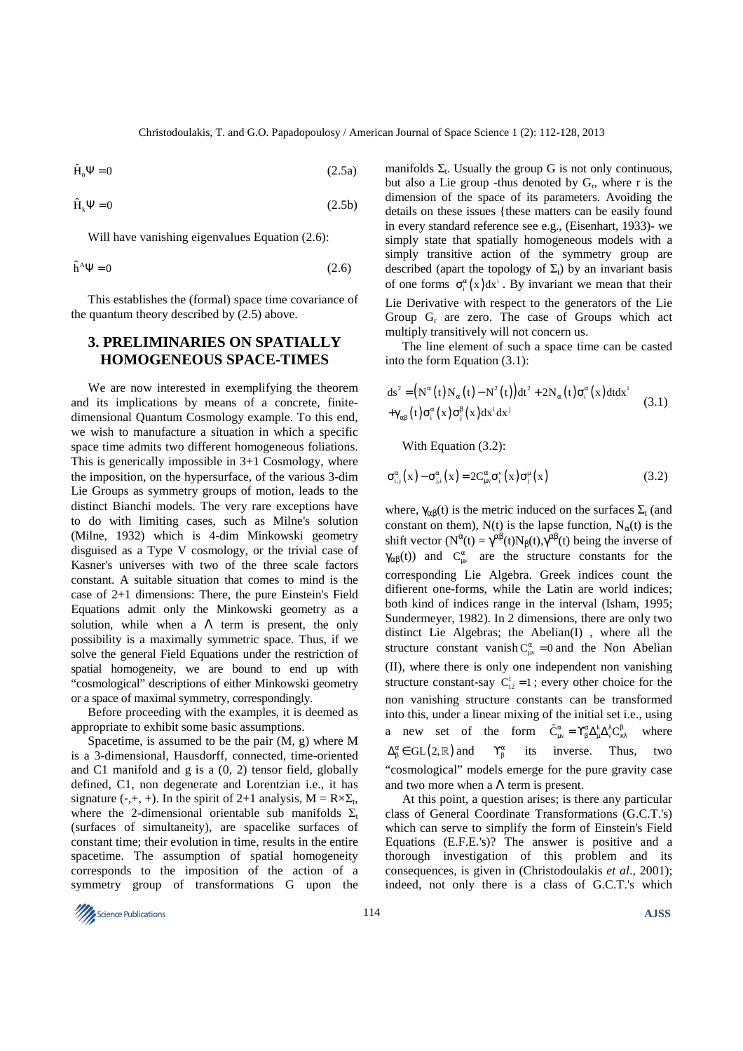$\hat{H}_0 \Psi = 0$  (2.5a)

$$
\hat{H}_k \Psi = 0 \tag{2.5b}
$$

Will have vanishing eigenvalues Equation (2.6):

 $\hat{h}^A \Psi = 0$  (2.6)

This establishes the (formal) space time covariance of the quantum theory described by (2.5) above.

# **3. PRELIMINARIES ON SPATIALLY HOMOGENEOUS SPACE-TIMES**

We are now interested in exemplifying the theorem and its implications by means of a concrete, finitedimensional Quantum Cosmology example. To this end, we wish to manufacture a situation in which a specific space time admits two different homogeneous foliations. This is generically impossible in 3+1 Cosmology, where the imposition, on the hypersurface, of the various 3-dim Lie Groups as symmetry groups of motion, leads to the distinct Bianchi models. The very rare exceptions have to do with limiting cases, such as Milne's solution (Milne, 1932) which is 4-dim Minkowski geometry disguised as a Type V cosmology, or the trivial case of Kasner's universes with two of the three scale factors constant. A suitable situation that comes to mind is the case of 2+1 dimensions: There, the pure Einstein's Field Equations admit only the Minkowski geometry as a solution, while when a  $\Lambda$  term is present, the only possibility is a maximally symmetric space. Thus, if we solve the general Field Equations under the restriction of spatial homogeneity, we are bound to end up with "cosmological" descriptions of either Minkowski geometry or a space of maximal symmetry, correspondingly.

Before proceeding with the examples, it is deemed as appropriate to exhibit some basic assumptions.

Spacetime, is assumed to be the pair (M, g) where M is a 3-dimensional, Hausdorff, connected, time-oriented and C1 manifold and g is a (0, 2) tensor field, globally defined, C1, non degenerate and Lorentzian i.e., it has signature (-,+, +). In the spirit of 2+1 analysis,  $M = R \times \Sigma_t$ , where the 2-dimensional orientable sub manifolds  $\Sigma_t$ (surfaces of simultaneity), are spacelike surfaces of constant time; their evolution in time, results in the entire spacetime. The assumption of spatial homogeneity corresponds to the imposition of the action of a symmetry group of transformations G upon the

manifolds  $\Sigma_t$ . Usually the group G is not only continuous, but also a Lie group -thus denoted by  $G_r$ , where r is the dimension of the space of its parameters. Avoiding the details on these issues {these matters can be easily found in every standard reference see e.g., (Eisenhart, 1933)- we simply state that spatially homogeneous models with a simply transitive action of the symmetry group are described (apart the topology of  $\Sigma_t$ ) by an invariant basis of one forms  $\sigma_i^{\alpha}(x)dx^i$ . By invariant we mean that their Lie Derivative with respect to the generators of the Lie Group G<sup>r</sup> are zero. The case of Groups which act multiply transitively will not concern us.

The line element of such a space time can be casted into the form Equation (3.1):

$$
ds^{2} = (N^{\alpha}(t)N_{\alpha}(t) - N^{2}(t))dt^{2} + 2N_{\alpha}(t)\sigma_{i}^{\alpha}(x)dtdx^{i}
$$
  
+ $\gamma_{\alpha\beta}(t)\sigma_{i}^{\alpha}(x)\sigma_{j}^{\beta}(x)dx^{i}dx^{j}$  (3.1)

With Equation (3.2):

$$
\sigma_{i,j}^{\alpha}(x) - \sigma_{j,i}^{\alpha}(x) = 2C_{\mu\nu}^{\alpha}\sigma_{i}^{\nu}(x)\sigma_{j}^{\mu}(x)
$$
\n(3.2)

where,  $\gamma_{\alpha\beta}(t)$  is the metric induced on the surfaces  $\Sigma_t$  (and constant on them), N(t) is the lapse function, N<sub>α</sub>(t) is the shift vector  $(N^{\alpha}(t) = \gamma^{\alpha\beta}(t)N_{\beta}(t), \gamma^{\alpha\beta}(t)$  being the inverse of  $\gamma_{\alpha\beta}(t)$  and  $C_{\mu\nu}^{\alpha}$  are the structure constants for the corresponding Lie Algebra. Greek indices count the difierent one-forms, while the Latin are world indices; both kind of indices range in the interval (Isham, 1995; Sundermeyer, 1982). In 2 dimensions, there are only two distinct Lie Algebras; the Abelian(I) , where all the structure constant vanish  $C_{\mu\nu}^{\alpha} = 0$  and the Non Abelian (II), where there is only one independent non vanishing structure constant-say  $C_{12}^1 = 1$ ; every other choice for the non vanishing structure constants can be transformed into this, under a linear mixing of the initial set i.e., using a new set of the form  $\tilde{C}_{\mu\nu}^{\alpha} = \Upsilon_{\beta}^{\alpha} \Delta_{\mu}^{\lambda} \Delta_{\nu}^{\lambda} C_{\kappa\lambda}^{\beta}$  where  $\Delta_{\beta}^{\alpha} \in GL(2, \mathbb{R})$  and  $\Upsilon_{\beta}^{\alpha}$  its inverse. Thus, two "cosmological" models emerge for the pure gravity case and two more when a  $\Lambda$  term is present.

At this point, a question arises; is there any particular class of General Coordinate Transformations (G.C.T.'s) which can serve to simplify the form of Einstein's Field Equations (E.F.E.'s)? The answer is positive and a thorough investigation of this problem and its consequences, is given in (Christodoulakis *et al*., 2001); indeed, not only there is a class of G.C.T.'s which

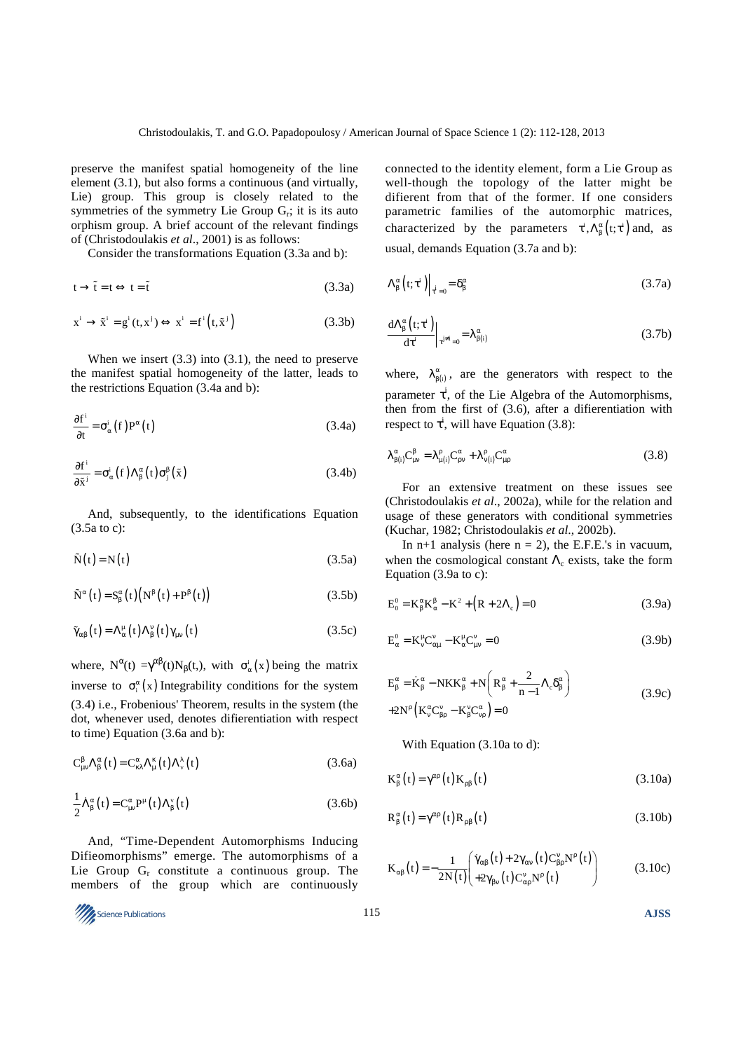preserve the manifest spatial homogeneity of the line element (3.1), but also forms a continuous (and virtually, Lie) group. This group is closely related to the symmetries of the symmetry Lie Group  $G_r$ ; it is its auto orphism group. A brief account of the relevant findings of (Christodoulakis *et al*., 2001) is as follows:

Consider the transformations Equation (3.3a and b):

$$
t \to \tilde{t} = t \Leftrightarrow t = \tilde{t} \tag{3.3a}
$$

$$
\mathbf{x}^{\mathbf{i}} \to \tilde{\mathbf{x}}^{\mathbf{i}} = \mathbf{g}^{\mathbf{i}}(\mathbf{t}, \mathbf{x}^{\mathbf{j}}) \Leftrightarrow \mathbf{x}^{\mathbf{i}} = \mathbf{f}^{\mathbf{i}}(\mathbf{t}, \tilde{\mathbf{x}}^{\mathbf{j}})
$$
(3.3b)

When we insert  $(3.3)$  into  $(3.1)$ , the need to preserve the manifest spatial homogeneity of the latter, leads to the restrictions Equation (3.4a and b):

$$
\frac{\partial f^i}{\partial t} = \sigma^i_{\alpha}(f) P^{\alpha}(t)
$$
 (3.4a)

$$
\frac{\partial f^i}{\partial \tilde{x}^j} = \sigma_\alpha^i(f) \Lambda_\beta^\alpha(t) \sigma_j^\beta(\tilde{x})
$$
\n(3.4b)

And, subsequently, to the identifications Equation (3.5a to c):

$$
\tilde{N}(t) = N(t) \tag{3.5a}
$$

$$
\tilde{N}^{\alpha}(t) = S^{\alpha}_{\beta}(t) (N^{\beta}(t) + P^{\beta}(t))
$$
\n(3.5b)

$$
\tilde{\gamma}_{\alpha\beta}(t) = \Lambda_{\alpha}^{\mu}(t)\Lambda_{\beta}^{\nu}(t)\gamma_{\mu\nu}(t)
$$
\n(3.5c)

where,  $N^{\alpha}(t) = \gamma^{\alpha\beta}(t)N_{\beta}(t)$ , with  $\sigma_{\alpha}^{i}(x)$  being the matrix inverse to  $\sigma_i^{\alpha}(x)$  Integrability conditions for the system (3.4) i.e., Frobenious' Theorem, results in the system (the dot, whenever used, denotes difierentiation with respect to time) Equation (3.6a and b):

$$
C^{\beta}_{\mu\nu}\Lambda^{\alpha}_{\beta}(t) = C^{\alpha}_{\kappa\lambda}\Lambda^{\kappa}_{\mu}(t)\Lambda^{\lambda}_{\nu}(t)
$$
\n(3.6a)

$$
\frac{1}{2}\dot{\Lambda}_{\beta}^{\alpha}(t) = C_{\mu\nu}^{\alpha}P^{\mu}(t)\Lambda_{\beta}^{\nu}(t)
$$
\n(3.6b)

And, "Time-Dependent Automorphisms Inducing Difieomorphisms" emerge. The automorphisms of a Lie Group  $G_r$  constitute a continuous group. The members of the group which are continuously

connected to the identity element, form a Lie Group as well-though the topology of the latter might be difierent from that of the former. If one considers parametric families of the automorphic matrices, characterized by the parameters  $\tau^{i}$ ,  $\Lambda_{\beta}^{\alpha} (t; \tau^{i})$  and, as usual, demands Equation (3.7a and b):

$$
\Lambda^{\alpha}_{\beta}(t;\tau^{i})\Big|_{\tau^{i}=0} = \delta^{\alpha}_{\beta}
$$
\n(3.7a)

$$
\left. \frac{\mathrm{d}\Lambda^{\alpha}_{\beta}\left(t;\tau^{i}\right)}{\mathrm{d}\tau^{i}}\right|_{\tau^{j\neq i}=0} = \lambda^{\alpha}_{\beta(i)} \tag{3.7b}
$$

where,  $\lambda_{\beta(i)}^{\alpha}$ , are the generators with respect to the parameter  $\tau^i$ , of the Lie Algebra of the Automorphisms, then from the first of (3.6), after a difierentiation with respect to  $\tau^i$ , will have Equation (3.8):

$$
\lambda^{\alpha}_{\beta(i)} C^{\beta}_{\mu\nu} = \lambda^{\rho}_{\mu(i)} C^{\alpha}_{\rho\nu} + \lambda^{\rho}_{\nu(i)} C^{\alpha}_{\mu\rho}
$$
\n(3.8)

For an extensive treatment on these issues see (Christodoulakis *et al*., 2002a), while for the relation and usage of these generators with conditional symmetries (Kuchar, 1982; Christodoulakis *et al*., 2002b).

In  $n+1$  analysis (here  $n = 2$ ), the E.F.E.'s in vacuum, when the cosmological constant  $\Lambda_c$  exists, take the form Equation (3.9a to c):

$$
E_0^0 = K_\beta^\alpha K_\alpha^\beta - K^2 + (R + 2\Lambda_c) = 0
$$
\n(3.9a)

$$
E_{\alpha}^{0} = K_{\nu}^{\mu} C_{\alpha\mu}^{\nu} - K_{\alpha}^{\mu} C_{\mu\nu}^{\nu} = 0
$$
 (3.9b)

$$
E_{\beta}^{\alpha} = \dot{K}_{\beta}^{\alpha} - NKK_{\beta}^{\alpha} + N \left( R_{\beta}^{\alpha} + \frac{2}{n-1} \Lambda_{c} \delta_{\beta}^{\alpha} \right)
$$
  
+2N<sup>p</sup>  $\left( K_{\nu}^{\alpha} C_{\beta p}^{\nu} - K_{\beta}^{\nu} C_{\nu p}^{\alpha} \right) = 0$  (3.9c)

With Equation (3.10a to d):

$$
K_{\beta}^{\alpha}(t) = \gamma^{\alpha \rho}(t) K_{\rho \beta}(t)
$$
\n(3.10a)

$$
R_{\beta}^{\alpha}(t) = \gamma^{\alpha \rho}(t) R_{\rho \beta}(t)
$$
 (3.10b)

$$
K_{\alpha\beta}(t) = -\frac{1}{2N(t)} \left( \dot{\gamma}_{\alpha\beta}(t) + 2\gamma_{\alpha\nu}(t) C^{\nu}_{\beta\rho} N^{\rho}(t) \right) \tag{3.10c}
$$

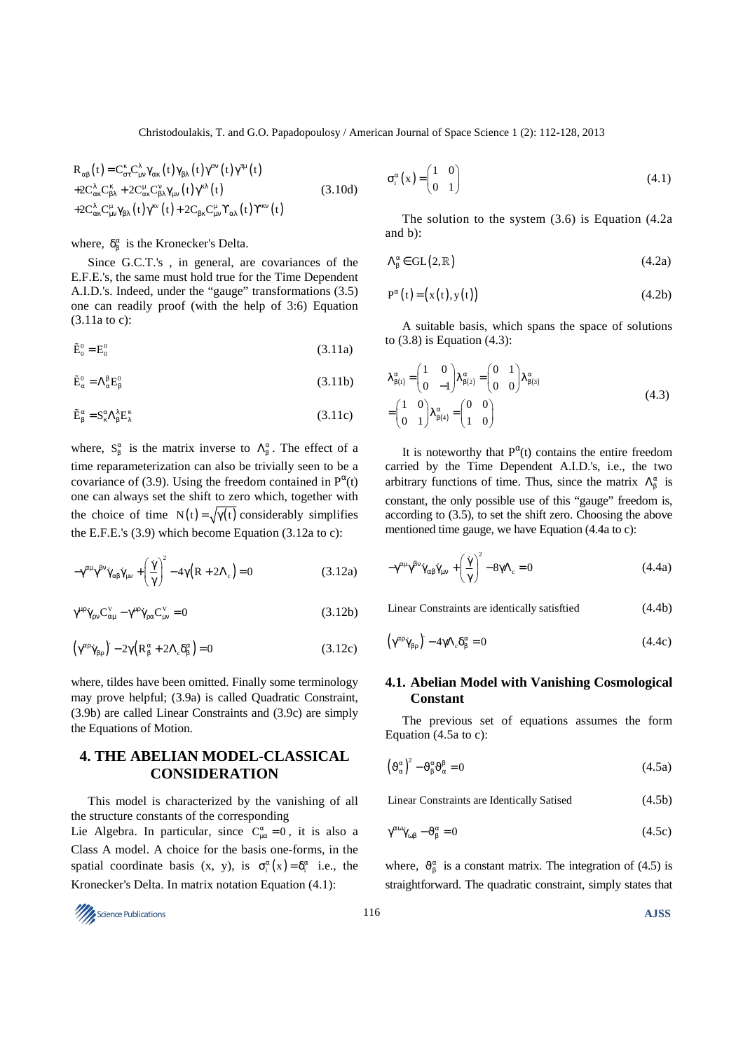$$
R_{\alpha\beta}(t) = C_{\sigma\tau}^{\kappa} C_{\mu\nu}^{\lambda} \gamma_{\alpha\kappa}(t) \gamma_{\beta\lambda}(t) \gamma^{\sigma\nu}(t) \gamma^{\tau\mu}(t)
$$
  
+2C\_{\alpha\kappa}^{\lambda} C\_{\beta\lambda}^{\kappa} + 2C\_{\alpha\kappa}^{\mu} C\_{\beta\lambda}^{\nu} \gamma\_{\mu\nu}(t) \gamma^{\kappa\lambda}(t) \qquad (3.10d)  
+2C\_{\alpha\kappa}^{\lambda} C\_{\mu\nu}^{\mu} \gamma\_{\beta\lambda}(t) \gamma^{\kappa\nu}(t) + 2C\_{\beta\kappa} C\_{\mu\nu}^{\mu} \gamma\_{\alpha\lambda}(t) \gamma^{\kappa\nu}(t) \qquad (3.10d)

where,  $\delta_{\beta}^{\alpha}$  is the Kronecker's Delta.

Since G.C.T.'s , in general, are covariances of the E.F.E.'s, the same must hold true for the Time Dependent A.I.D.'s. Indeed, under the "gauge" transformations (3.5) one can readily proof (with the help of 3:6) Equation (3.11a to c):

$$
\tilde{\mathbf{E}}_0^0 = \mathbf{E}_0^0 \tag{3.11a}
$$

$$
\tilde{E}_{\alpha}^{0} = \Lambda_{\alpha}^{\beta} E_{\beta}^{0}
$$
\n(3.11b)

$$
\tilde{E}_{\beta}^{\alpha} = S_{\kappa}^{\alpha} \Lambda_{\beta}^{\lambda} E_{\lambda}^{\kappa}
$$
\n(3.11c)

where,  $S_{\beta}^{\alpha}$  is the matrix inverse to  $\Lambda_{\beta}^{\alpha}$ . The effect of a time reparameterization can also be trivially seen to be a covariance of (3.9). Using the freedom contained in  $P^{\alpha}(t)$ one can always set the shift to zero which, together with the choice of time  $N(t) = \sqrt{\gamma(t)}$  considerably simplifies the E.F.E.'s (3.9) which become Equation (3.12a to c):

$$
-\gamma^{\alpha\mu}\gamma^{\beta\nu}\dot{\gamma}_{\alpha\beta}\dot{\gamma}_{\mu\nu} + \left(\frac{\dot{\gamma}}{\gamma}\right)^2 - 4\gamma(R + 2\Lambda_c) = 0
$$
 (3.12a)

$$
\gamma^{\mu\rho}\dot{\gamma}_{\rho\nu}C^{\nu}_{\alpha\mu}-\gamma^{\mu\rho}\dot{\gamma}_{\rho\alpha}C^{\nu}_{\mu\nu}=0\eqno(3.12b)
$$

$$
(\gamma^{\alpha\rho}\gamma_{\beta\rho}) - 2\gamma \left(R^{\alpha}_{\beta} + 2\Lambda_c \delta^{\alpha}_{\beta}\right) = 0
$$
\n(3.12c)

where, tildes have been omitted. Finally some terminology may prove helpful; (3.9a) is called Quadratic Constraint, (3.9b) are called Linear Constraints and (3.9c) are simply the Equations of Motion.

# **4. THE ABELIAN MODEL-CLASSICAL CONSIDERATION**

This model is characterized by the vanishing of all the structure constants of the corresponding Lie Algebra. In particular, since  $C_{\mu\alpha}^{\alpha} = 0$ , it is also a Class A model. A choice for the basis one-forms, in the spatial coordinate basis  $(x, y)$ , is  $\sigma_i^{\alpha}(x) = \delta_i^{\alpha}$  i.e., the Kronecker's Delta. In matrix notation Equation (4.1):



$$
\sigma_i^{\alpha}(x) = \begin{pmatrix} 1 & 0 \\ 0 & 1 \end{pmatrix} \tag{4.1}
$$

The solution to the system (3.6) is Equation (4.2a and b):

$$
\Lambda_{\beta}^{\alpha} \in GL(2, \mathbb{R}) \tag{4.2a}
$$

$$
P^{\alpha}(t) = (x(t), y(t))
$$
\n(4.2b)

A suitable basis, which spans the space of solutions to (3.8) is Equation (4.3):

$$
\lambda_{\beta(1)}^{\alpha} = \begin{pmatrix} 1 & 0 \\ 0 & -1 \end{pmatrix} \lambda_{\beta(2)}^{\alpha} = \begin{pmatrix} 0 & 1 \\ 0 & 0 \end{pmatrix} \lambda_{\beta(3)}^{\alpha} \n= \begin{pmatrix} 1 & 0 \\ 0 & 1 \end{pmatrix} \lambda_{\beta(4)}^{\alpha} = \begin{pmatrix} 0 & 0 \\ 1 & 0 \end{pmatrix}
$$
\n(4.3)

It is noteworthy that  $P^{\alpha}(t)$  contains the entire freedom carried by the Time Dependent A.I.D.'s, i.e., the two arbitrary functions of time. Thus, since the matrix  $\Lambda_{\beta}^{\alpha}$  is constant, the only possible use of this "gauge" freedom is, according to (3.5), to set the shift zero. Choosing the above mentioned time gauge, we have Equation (4.4a to c):

$$
-\gamma^{\alpha\mu}\gamma^{\beta\nu}\dot{\gamma}_{\alpha\beta}\dot{\gamma}_{\mu\nu} + \left(\frac{\dot{\gamma}}{\gamma}\right)^2 - 8\gamma\Lambda_c = 0
$$
\n(4.4a)

Linear Constraints are identically satisftied (4.4b)

$$
\left(\gamma^{\alpha\rho}\dot{\gamma}_{\beta\rho}\right) - 4\gamma\Lambda_c\delta^\alpha_\beta = 0\tag{4.4c}
$$

### **4.1. Abelian Model with Vanishing Cosmological Constant**

The previous set of equations assumes the form Equation (4.5a to c):

$$
\left(\vartheta_{\alpha}^{\alpha}\right)^{2} - \vartheta_{\beta}^{\alpha}\vartheta_{\alpha}^{\beta} = 0
$$
\n(4.5a)

Linear Constraints are Identically Satised (4.5b)

$$
\gamma^{\alpha\omega}\dot{\gamma}_{\omega\beta} - \vartheta^{\alpha}_{\beta} = 0 \tag{4.5c}
$$

where,  $\vartheta_{\beta}^{\alpha}$  is a constant matrix. The integration of (4.5) is straightforward. The quadratic constraint, simply states that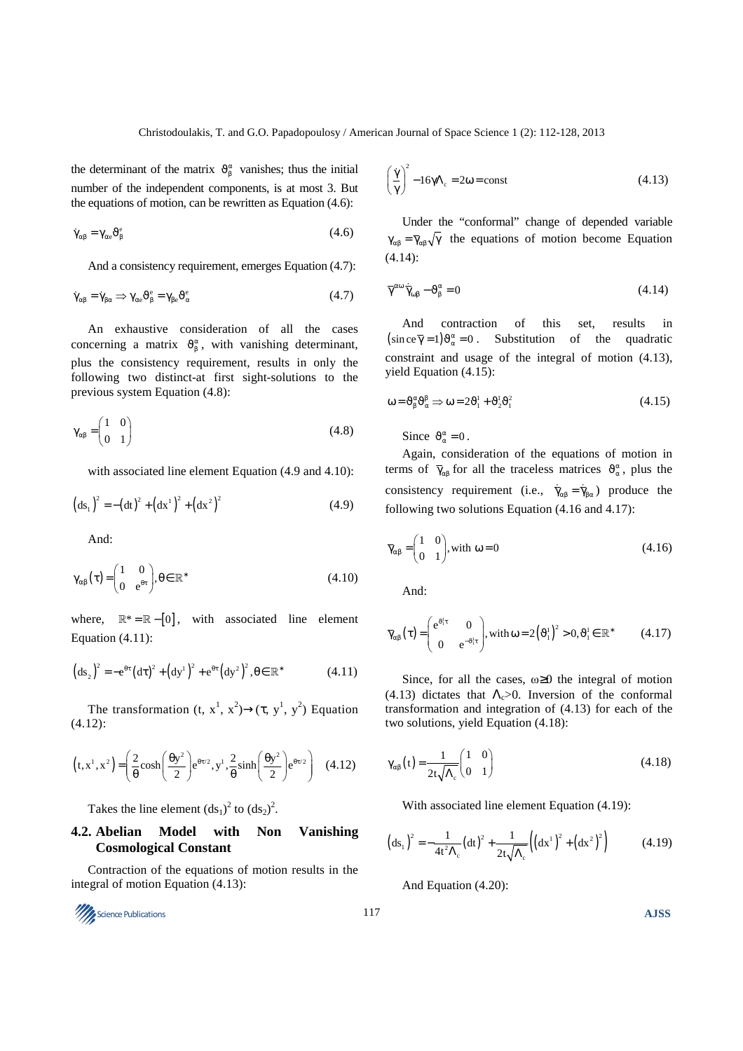the determinant of the matrix  $\vartheta_{\beta}^{\alpha}$  vanishes; thus the initial number of the independent components, is at most 3. But the equations of motion, can be rewritten as Equation (4.6):

$$
\dot{\gamma}_{\alpha\beta} = \gamma_{\alpha\alpha}\vartheta_{\beta}^{\rm e} \tag{4.6}
$$

And a consistency requirement, emerges Equation (4.7):

$$
\dot{\gamma}_{\alpha\beta} = \dot{\gamma}_{\beta\alpha} \implies \gamma_{\alpha e} \vartheta_{\beta}^{e} = \gamma_{\beta e} \vartheta_{\alpha}^{e}
$$
\n(4.7)

An exhaustive consideration of all the cases concerning a matrix  $\vartheta_{\beta}^{\alpha}$ , with vanishing determinant, plus the consistency requirement, results in only the following two distinct-at first sight-solutions to the previous system Equation (4.8):

$$
\gamma_{\alpha\beta} = \begin{pmatrix} 1 & 0 \\ 0 & 1 \end{pmatrix} \tag{4.8}
$$

with associated line element Equation (4.9 and 4.10):

$$
(ds1)2 = -(dt)2 + (dx1)2 + (dx2)2
$$
 (4.9)

And:

$$
\gamma_{\alpha\beta}(\tau) = \begin{pmatrix} 1 & 0 \\ 0 & e^{\theta \tau} \end{pmatrix}, \theta \in \mathbb{R}^*
$$
 (4.10)

where,  $\mathbb{R}^* = \mathbb{R} - [0]$ , with associated line element Equation (4.11):

$$
\left(\mathrm{d}s_2\right)^2 = -\mathrm{e}^{\theta \tau} \left(\mathrm{d}\tau\right)^2 + \left(\mathrm{d}y^1\right)^2 + \mathrm{e}^{\theta \tau} \left(\mathrm{d}y^2\right)^2, \theta \in \mathbb{R}^* \tag{4.11}
$$

The transformation  $(t, x^1, x^2) \rightarrow (\tau, y^1, y^2)$  Equation (4.12):

$$
(t, x1, x2) = \left(\frac{2}{\theta}\cosh\left(\frac{\theta y^2}{2}\right)e^{\theta\tau/2}, y^1, \frac{2}{\theta}\sinh\left(\frac{\theta y^2}{2}\right)e^{\theta\tau/2}\right) \quad (4.12)
$$

Takes the line element  $(ds_1)^2$  to  $(ds_2)^2$ .

### **4.2. Abelian Model with Non Vanishing Cosmological Constant**

Contraction of the equations of motion results in the integral of motion Equation (4.13):



$$
\left(\frac{\dot{\gamma}}{\gamma}\right)^2 - 16\gamma\Lambda_c = 2\omega = \text{const}
$$
 (4.13)

Under the "conformal" change of depended variable  $\gamma_{\alpha\beta} = \overline{\gamma}_{\alpha\beta}\sqrt{\gamma}$  the equations of motion become Equation (4.14):

$$
\overline{\gamma}^{\alpha\omega}\dot{\overline{\gamma}}_{\omega\beta} - \vartheta^{\alpha}_{\beta} = 0
$$
\n(4.14)

And contraction of this set, results in  $(\sin ce\overline{\gamma} = 1)\vartheta_{\alpha}^{\alpha} = 0$ . Substitution of the quadratic constraint and usage of the integral of motion (4.13), yield Equation (4.15):

$$
\omega = \vartheta_{\beta}^{\alpha} \vartheta_{\alpha}^{\beta} \Rightarrow \omega = 2\vartheta_{1}^{1} + \vartheta_{2}^{1} \vartheta_{1}^{2}
$$
\n(4.15)

Since  $\vartheta_{\alpha}^{\alpha} = 0$ .

Again, consideration of the equations of motion in terms of  $\bar{\gamma}_{\alpha\beta}$  for all the traceless matrices  $\vartheta_{\alpha}^{\alpha}$ , plus the consistency requirement (i.e.,  $\overline{\gamma}_{\alpha\beta} = \overline{\gamma}_{\beta\alpha}$ ) produce the following two solutions Equation (4.16 and 4.17):

$$
\overline{\gamma}_{\alpha\beta} = \begin{pmatrix} 1 & 0 \\ 0 & 1 \end{pmatrix}, \text{with } \omega = 0 \tag{4.16}
$$

And:

$$
\overline{\gamma}_{\alpha\beta}(\tau) = \begin{pmatrix} e^{\vartheta_1^1 \tau} & 0 \\ 0 & e^{-\vartheta_1^1 \tau} \end{pmatrix}, \text{with } \omega = 2(\vartheta_1^1)^2 > 0, \vartheta_1^1 \in \mathbb{R}^* \tag{4.17}
$$

Since, for all the cases,  $\omega \geq 0$  the integral of motion (4.13) dictates that  $\Lambda_c > 0$ . Inversion of the conformal transformation and integration of (4.13) for each of the two solutions, yield Equation (4.18):

$$
\gamma_{\alpha\beta}(t) = \frac{1}{2t\sqrt{\Lambda_c}} \begin{pmatrix} 1 & 0\\ 0 & 1 \end{pmatrix}
$$
 (4.18)

With associated line element Equation (4.19):

$$
(ds_1)^2 = -\frac{1}{4t^2\Lambda_c}(dt)^2 + \frac{1}{2t\sqrt{\Lambda_c}}((dx^1)^2 + (dx^2)^2)
$$
 (4.19)

And Equation (4.20):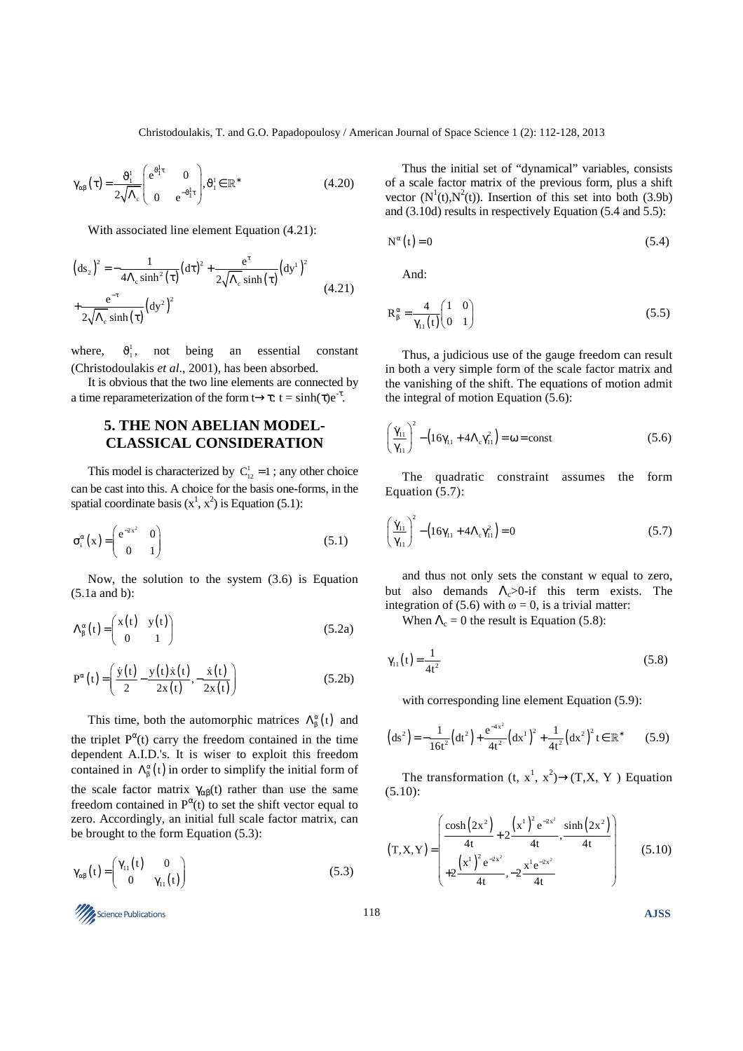Christodoulakis, T. and G.O. Papadopoulosy / American Journal of Space Science 1 (2): 112-128, 2013

$$
\gamma_{\alpha\beta}(\tau) = \frac{\vartheta_i^1}{2\sqrt{\Lambda_c}} \begin{pmatrix} e^{\vartheta_i^1 \tau} & 0\\ 0 & e^{-\vartheta_i^1 \tau} \end{pmatrix}, \vartheta_i^1 \in \mathbb{R}^* \tag{4.20}
$$

With associated line element Equation (4.21):

$$
\left(\mathrm{ds}_{2}\right)^{2} = -\frac{1}{4\Lambda_{c}\sinh^{2}(\tau)}\left(\mathrm{d}\tau\right)^{2} + \frac{\mathrm{e}^{\tau}}{2\sqrt{\Lambda_{c}}\sinh(\tau)}\left(\mathrm{d}y^{1}\right)^{2} + \frac{\mathrm{e}^{-\tau}}{2\sqrt{\Lambda_{c}}\sinh(\tau)}\left(\mathrm{d}y^{2}\right)^{2}
$$
\n(4.21)

where,  $\vartheta_i^1$ , , not being an essential constant (Christodoulakis *et al*., 2001), has been absorbed.

It is obvious that the two line elements are connected by a time reparameterization of the form  $t \rightarrow \tau$ :  $t = \sinh(\tau)e^{-\tau}$ .

# **5. THE NON ABELIAN MODEL-CLASSICAL CONSIDERATION**

This model is characterized by  $C_{12}^1 = 1$ ; any other choice can be cast into this. A choice for the basis one-forms, in the spatial coordinate basis  $(x^1, x^2)$  is Equation (5.1):

$$
\sigma_i^{\alpha}(x) = \begin{pmatrix} e^{-2x^2} & 0 \\ 0 & 1 \end{pmatrix}
$$
 (5.1)

Now, the solution to the system (3.6) is Equation (5.1a and b):

$$
\Lambda_{\beta}^{\alpha}(t) = \begin{pmatrix} x(t) & y(t) \\ 0 & 1 \end{pmatrix}
$$
 (5.2a)

$$
P^{\alpha}(t) = \left(\frac{\dot{y}(t)}{2} - \frac{y(t)\dot{x}(t)}{2x(t)}, -\frac{\dot{x}(t)}{2x(t)}\right)
$$
(5.2b)

This time, both the automorphic matrices  $\Lambda_{\beta}^{\alpha}(t)$  and the triplet  $P^{\alpha}(t)$  carry the freedom contained in the time dependent A.I.D.'s. It is wiser to exploit this freedom contained in  $\Lambda_{\beta}^{\alpha}(t)$  in order to simplify the initial form of the scale factor matrix  $\gamma_{\alpha\beta}(t)$  rather than use the same freedom contained in  $P^{\alpha}(t)$  to set the shift vector equal to zero. Accordingly, an initial full scale factor matrix, can be brought to the form Equation (5.3):

$$
\gamma_{\alpha\beta}(t) = \begin{pmatrix} \gamma_{11}(t) & 0\\ 0 & \gamma_{11}(t) \end{pmatrix}
$$
 (5.3)

**Science Publications AJSS AJSS A** 

Thus the initial set of "dynamical" variables, consists of a scale factor matrix of the previous form, plus a shift vector  $(N^1(t), N^2(t))$ . Insertion of this set into both (3.9b) and (3.10d) results in respectively Equation (5.4 and 5.5):

$$
N^{\alpha}(t) = 0 \tag{5.4}
$$

And:

$$
\mathbf{R}_{\beta}^{\alpha} = \frac{4}{\gamma_{11}(t)} \begin{pmatrix} 1 & 0 \\ 0 & 1 \end{pmatrix}
$$
 (5.5)

Thus, a judicious use of the gauge freedom can result in both a very simple form of the scale factor matrix and the vanishing of the shift. The equations of motion admit the integral of motion Equation (5.6):

$$
\left(\frac{\dot{\gamma}_{11}}{\gamma_{11}}\right)^2 - \left(16\gamma_{11} + 4\Lambda_c\gamma_{11}^2\right) = \omega = \text{const}
$$
\n(5.6)

The quadratic constraint assumes the form Equation (5.7):

$$
\left(\frac{\dot{\gamma}_{11}}{\gamma_{11}}\right)^2 - \left(16\gamma_{11} + 4\Lambda_c\gamma_{11}^2\right) = 0\tag{5.7}
$$

and thus not only sets the constant w equal to zero, but also demands  $\Lambda_c > 0$ -if this term exists. The integration of (5.6) with  $\omega = 0$ , is a trivial matter:

When  $\Lambda_c = 0$  the result is Equation (5.8):

$$
\gamma_{11}(t) = \frac{1}{4t^2} \tag{5.8}
$$

with corresponding line element Equation (5.9):

$$
(ds2) = -\frac{1}{16t2}(dt2) + \frac{e^{-4x2}}{4t2}(dx1)2 + \frac{1}{4t2}(dx2)2 t \in \mathbb{R}*
$$
 (5.9)

The transformation  $(t, x^1, x^2) \rightarrow (T,X, Y)$  Equation (5.10):

$$
(T, X, Y) = \begin{pmatrix} \frac{\cosh(2x^{2})}{4t} + 2\frac{(x^{1})^{2} e^{-2x^{2}}}{4t}, \frac{\sinh(2x^{2})}{4t} \\ +2\frac{(x^{1})^{2} e^{-2x^{2}}}{4t}, -2\frac{x^{1} e^{-2x^{2}}}{4t} \end{pmatrix}
$$
(5.10)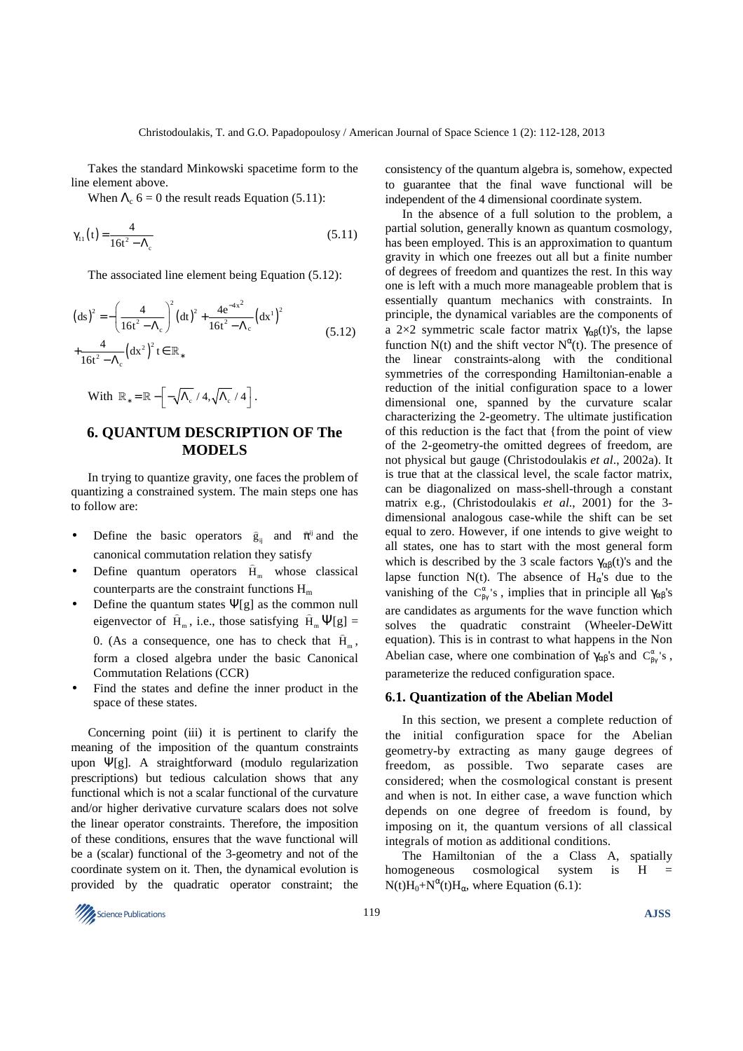Takes the standard Minkowski spacetime form to the line element above.

When  $\Lambda_c$  6 = 0 the result reads Equation (5.11):

$$
\gamma_{11}(t) = \frac{4}{16t^2 - \Lambda_c} \tag{5.11}
$$

The associated line element being Equation (5.12):

$$
(ds)^{2} = -\left(\frac{4}{16t^{2} - \Lambda_{c}}\right)^{2} (dt)^{2} + \frac{4e^{-4x^{2}}}{16t^{2} - \Lambda_{c}} (dx^{1})^{2} + \frac{4}{16t^{2} - \Lambda_{c}} (dx^{2})^{2} t \in \mathbb{R}_{*}
$$
\nWith  $\mathbb{R}_{*} = \mathbb{R} - \left[-\sqrt{\Lambda_{c}} / 4, \sqrt{\Lambda_{c}} / 4\right].$ 

\n(5.12)

# **6. QUANTUM DESCRIPTION OF The MODELS**

In trying to quantize gravity, one faces the problem of quantizing a constrained system. The main steps one has to follow are:

- Define the basic operators  $\hat{g}_{ij}$  and  $\hat{\pi}^{ij}$  and the canonical commutation relation they satisfy ⌢
- Define quantum operators  $\hat{H}_m$  whose classical counterparts are the constraint functions  $H_m$
- Define the quantum states  $\Psi[g]$  as the common null eigenvector of  $\hat{H}_m$ , i.e., those satisfying  $\hat{H}_m \Psi[g] =$ 0. (As a consequence, one has to check that  $\hat{H}_{m}$ ⌢ , form a closed algebra under the basic Canonical Commutation Relations (CCR)
- Find the states and define the inner product in the space of these states.

Concerning point (iii) it is pertinent to clarify the meaning of the imposition of the quantum constraints upon Ψ[g]. A straightforward (modulo regularization prescriptions) but tedious calculation shows that any functional which is not a scalar functional of the curvature and/or higher derivative curvature scalars does not solve the linear operator constraints. Therefore, the imposition of these conditions, ensures that the wave functional will be a (scalar) functional of the 3-geometry and not of the coordinate system on it. Then, the dynamical evolution is provided by the quadratic operator constraint; the consistency of the quantum algebra is, somehow, expected to guarantee that the final wave functional will be independent of the 4 dimensional coordinate system.

In the absence of a full solution to the problem, a partial solution, generally known as quantum cosmology, has been employed. This is an approximation to quantum gravity in which one freezes out all but a finite number of degrees of freedom and quantizes the rest. In this way one is left with a much more manageable problem that is essentially quantum mechanics with constraints. In principle, the dynamical variables are the components of a 2×2 symmetric scale factor matrix  $\gamma_{\alpha\beta}(t)$ 's, the lapse function N(t) and the shift vector  $N^{\alpha}(t)$ . The presence of the linear constraints-along with the conditional symmetries of the corresponding Hamiltonian-enable a reduction of the initial configuration space to a lower dimensional one, spanned by the curvature scalar characterizing the 2-geometry. The ultimate justification of this reduction is the fact that {from the point of view of the 2-geometry-the omitted degrees of freedom, are not physical but gauge (Christodoulakis *et al*., 2002a). It is true that at the classical level, the scale factor matrix, can be diagonalized on mass-shell-through a constant matrix e.g., (Christodoulakis *et al*., 2001) for the 3 dimensional analogous case-while the shift can be set equal to zero. However, if one intends to give weight to all states, one has to start with the most general form which is described by the 3 scale factors  $\gamma_{\alpha\beta}(t)$ 's and the lapse function N(t). The absence of  $H_{\alpha}$ 's due to the vanishing of the  $C_{\beta\gamma}^{\alpha}$ 's, implies that in principle all  $\gamma_{\alpha\beta}$ 's are candidates as arguments for the wave function which solves the quadratic constraint (Wheeler-DeWitt equation). This is in contrast to what happens in the Non Abelian case, where one combination of  $\gamma_{\alpha\beta}$ 's and  $C^{\alpha}_{\beta\gamma}$ 's, parameterize the reduced configuration space.

#### **6.1. Quantization of the Abelian Model**

In this section, we present a complete reduction of the initial configuration space for the Abelian geometry-by extracting as many gauge degrees of freedom, as possible. Two separate cases are considered; when the cosmological constant is present and when is not. In either case, a wave function which depends on one degree of freedom is found, by imposing on it, the quantum versions of all classical integrals of motion as additional conditions.

The Hamiltonian of the a Class A, spatially homogeneous cosmological system is H =  $N(t)H_0+N^{\alpha}(t)H_{\alpha}$ , where Equation (6.1):

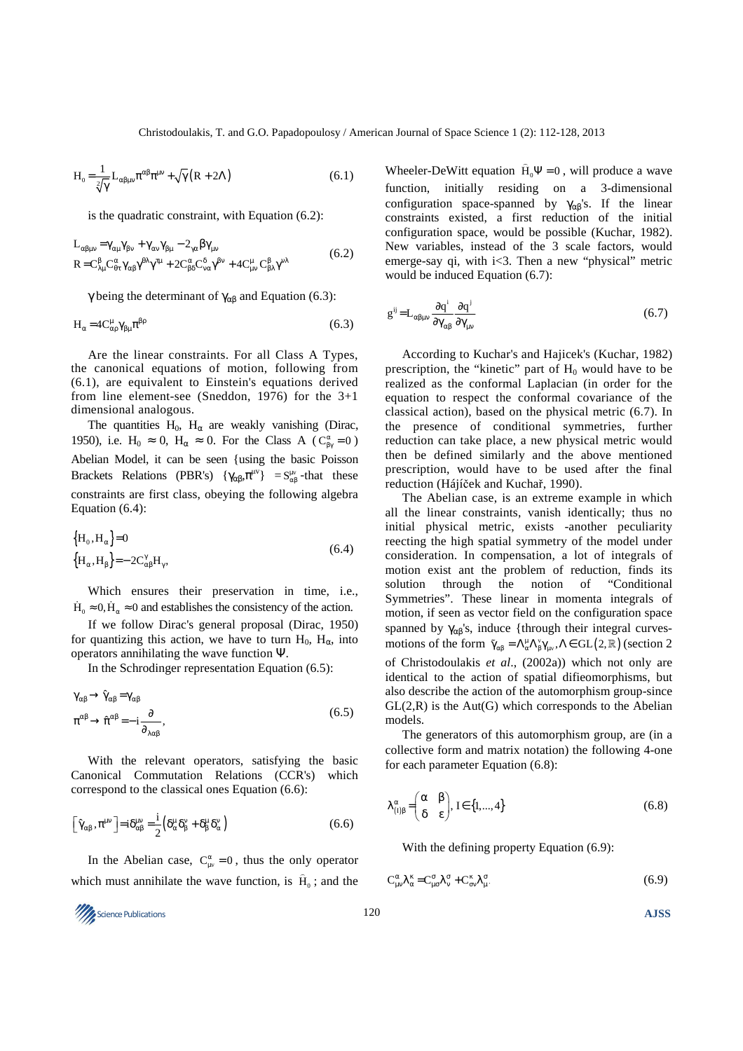$$
H_0 = \frac{1}{\sqrt[2]{\gamma}} L_{\alpha\beta\mu\nu} \pi^{\alpha\beta} \pi^{\mu\nu} + \sqrt{\gamma} (R + 2\Lambda)
$$
 (6.1)

is the quadratic constraint, with Equation (6.2):

$$
L_{\alpha\beta\mu\nu} = \gamma_{\alpha\mu}\gamma_{\beta\nu} + \gamma_{\alpha\nu}\gamma_{\beta\mu} - 2_{\gamma\alpha}\beta\gamma_{\mu\nu}
$$
  
\n
$$
R = C_{\mu\mu}^{\beta} C_{\theta\tau}^{\alpha} \gamma_{\alpha\beta} \gamma^{\theta\lambda} \gamma^{\mu} + 2C_{\beta\delta}^{\alpha} C_{\nu\alpha}^{\delta} \gamma^{\beta\nu} + 4C_{\mu\nu}^{\mu} C_{\beta\lambda}^{\beta} \gamma^{\nu\lambda}
$$
\n(6.2)

γ being the determinant of  $γ<sub>αβ</sub>$  and Equation (6.3):

$$
H_{\alpha} = 4C^{\mu}_{\alpha\rho}\gamma_{\beta\mu}\pi^{\beta\rho} \tag{6.3}
$$

Are the linear constraints. For all Class A Types, the canonical equations of motion, following from (6.1), are equivalent to Einstein's equations derived from line element-see (Sneddon, 1976) for the 3+1 dimensional analogous.

The quantities  $H_0$ ,  $H_\alpha$  are weakly vanishing (Dirac, 1950), i.e.  $H_0 \approx 0$ ,  $H_\alpha \approx 0$ . For the Class A ( $C_{\beta\gamma}^{\alpha} = 0$ ) Abelian Model, it can be seen {using the basic Poisson Brackets Relations (PBR's)  $\{\gamma_{\alpha\beta}, \pi^{\mu\nu}\} = S^{\mu\nu}_{\alpha\beta}$ -that these constraints are first class, obeying the following algebra Equation (6.4):

$$
\{H_0, H_\alpha\} = 0
$$
  
\n
$$
\{H_\alpha, H_\beta\} = -2C_{\alpha\beta}^\gamma H_\gamma,
$$
\n(6.4)

Which ensures their preservation in time, i.e.,  $H_0 \approx 0$ ,  $H_\alpha \approx 0$  and establishes the consistency of the action.

If we follow Dirac's general proposal (Dirac, 1950) for quantizing this action, we have to turn  $H_0$ ,  $H_\alpha$ , into operators annihilating the wave function Ψ.

In the Schrodinger representation Equation (6.5):

$$
\gamma_{\alpha\beta} \to \hat{\gamma}_{\alpha\beta} = \gamma_{\alpha\beta} \n\pi^{\alpha\beta} \to \hat{\pi}^{\alpha\beta} = -i \frac{\partial}{\partial_{\lambda\alpha\beta}},
$$
\n(6.5)

With the relevant operators, satisfying the basic Canonical Commutation Relations (CCR's) which correspond to the classical ones Equation (6.6):

$$
\left[\hat{\gamma}_{\alpha\beta},\pi^{\mu\nu}\right]=i\delta^{\mu\nu}_{\alpha\beta}=\frac{i}{2}\left(\delta^{\mu}_{\alpha}\delta^{\nu}_{\beta}+\delta^{\mu}_{\beta}\delta^{\nu}_{\alpha}\right)
$$
\n(6.6)

In the Abelian case,  $C_{\mu\nu}^{\alpha} = 0$ , thus the only operator which must annihilate the wave function, is  $\hat{H}_{0}$ ; and the

Wheeler-DeWitt equation  $\hat{H}_0 \Psi = 0$ , will produce a wave function, initially residing on a 3-dimensional configuration space-spanned by  $\gamma_{\alpha\beta}$ 's. If the linear constraints existed, a first reduction of the initial configuration space, would be possible (Kuchar, 1982). New variables, instead of the 3 scale factors, would emerge-say qi, with  $i<3$ . Then a new "physical" metric would be induced Equation (6.7):

⌢

$$
g^{ij} = L_{\alpha\beta\mu\nu} \frac{\partial q^i}{\partial \gamma_{\alpha\beta}} \frac{\partial q^j}{\partial \gamma_{\mu\nu}}
$$
 (6.7)

According to Kuchar's and Hajicek's (Kuchar, 1982) prescription, the "kinetic" part of  $H_0$  would have to be realized as the conformal Laplacian (in order for the equation to respect the conformal covariance of the classical action), based on the physical metric (6.7). In the presence of conditional symmetries, further reduction can take place, a new physical metric would then be defined similarly and the above mentioned prescription, would have to be used after the final reduction (Hájíček and Kuchař, 1990).

The Abelian case, is an extreme example in which all the linear constraints, vanish identically; thus no initial physical metric, exists -another peculiarity reecting the high spatial symmetry of the model under consideration. In compensation, a lot of integrals of motion exist ant the problem of reduction, finds its solution through the notion of "Conditional Symmetries". These linear in momenta integrals of motion, if seen as vector field on the configuration space spanned by  $\gamma_{\alpha\beta}$ 's, induce {through their integral curvesmotions of the form  $\tilde{\gamma}_{\alpha\beta} = \Lambda_{\alpha}^{\mu} \Lambda_{\beta}^{\nu} \gamma_{\mu\nu}, \Lambda \in GL(2,\mathbb{R})$  (section 2 of Christodoulakis *et al*., (2002a)) which not only are identical to the action of spatial difieomorphisms, but also describe the action of the automorphism group-since  $GL(2,R)$  is the Aut(G) which corresponds to the Abelian models.

The generators of this automorphism group, are (in a collective form and matrix notation) the following 4-one for each parameter Equation (6.8):

$$
\lambda_{(1)\beta}^{\alpha} = \begin{pmatrix} \alpha & \beta \\ \delta & \varepsilon \end{pmatrix}, I \in \{1, ..., 4\}
$$
 (6.8)

With the defining property Equation  $(6.9)$ :

$$
C^{\alpha}_{\mu\nu}\lambda^{\kappa}_{\alpha} = C^{\sigma}_{\mu\sigma}\lambda^{\sigma}_{\nu} + C^{\kappa}_{\sigma\nu}\lambda^{\sigma}_{\mu}.
$$
\n(6.9)

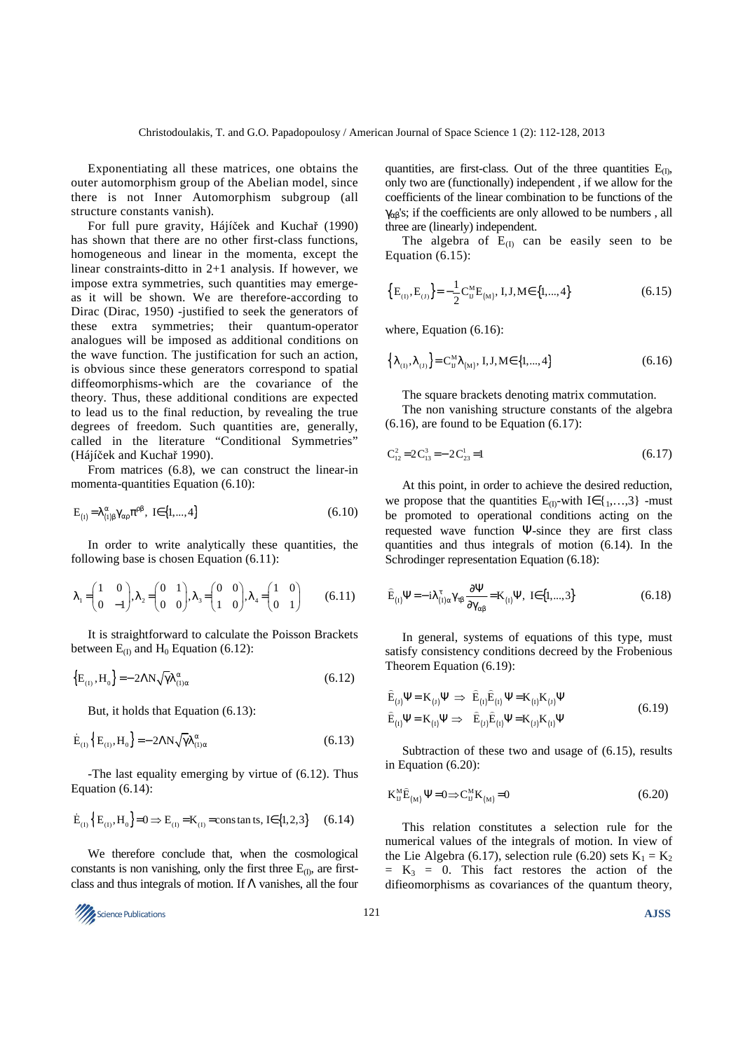Exponentiating all these matrices, one obtains the outer automorphism group of the Abelian model, since there is not Inner Automorphism subgroup (all structure constants vanish).

For full pure gravity, Hájíček and Kuchař (1990) has shown that there are no other first-class functions, homogeneous and linear in the momenta, except the linear constraints-ditto in 2+1 analysis. If however, we impose extra symmetries, such quantities may emergeas it will be shown. We are therefore-according to Dirac (Dirac, 1950) -justified to seek the generators of these extra symmetries; their quantum-operator analogues will be imposed as additional conditions on the wave function. The justification for such an action, is obvious since these generators correspond to spatial diffeomorphisms-which are the covariance of the theory. Thus, these additional conditions are expected to lead us to the final reduction, by revealing the true degrees of freedom. Such quantities are, generally, called in the literature "Conditional Symmetries" (Hájíček and Kuchař 1990).

From matrices (6.8), we can construct the linear-in momenta-quantities Equation (6.10):

$$
E_{(1)} = \lambda_{(1)\beta}^{\alpha} \gamma_{\alpha\rho} \pi^{\rho\beta}, \ I \in \{1, ..., 4\}
$$
 (6.10)

In order to write analytically these quantities, the following base is chosen Equation (6.11):

$$
\lambda_1 = \begin{pmatrix} 1 & 0 \\ 0 & -1 \end{pmatrix}, \lambda_2 = \begin{pmatrix} 0 & 1 \\ 0 & 0 \end{pmatrix}, \lambda_3 = \begin{pmatrix} 0 & 0 \\ 1 & 0 \end{pmatrix}, \lambda_4 = \begin{pmatrix} 1 & 0 \\ 0 & 1 \end{pmatrix}
$$
 (6.11)

It is straightforward to calculate the Poisson Brackets between  $E_{(I)}$  and  $H_0$  Equation (6.12):

$$
\left\{E_{(I)}, H_0\right\} = -2\Lambda N \sqrt{\gamma} \lambda_{(I)\alpha}^{\alpha} \tag{6.12}
$$

But, it holds that Equation (6.13):

$$
\dot{E}_{(I)}\Big{E_{(I)},H_0\Big{}} = -2\Lambda N \sqrt{\gamma} \lambda_{(I)\alpha}^{\alpha}
$$
\n(6.13)

-The last equality emerging by virtue of (6.12). Thus Equation (6.14):

$$
\dot{E}_{(1)}\Big\{E_{(1)},H_0\Big\}\!=\!0\!\Rightarrow E_{(1)}\!=\!K_{(1)}\!=\!\!const\text{an ts, I}\!\in\!\big\{1,2,3\big\}\quad(6.14)
$$

We therefore conclude that, when the cosmological constants is non vanishing, only the first three  $E_{(I)}$ , are firstclass and thus integrals of motion. If Λ vanishes, all the four

**121** AJSS

quantities, are first-class. Out of the three quantities  $E_{(I)}$ , only two are (functionally) independent , if we allow for the coefficients of the linear combination to be functions of the  $\gamma_{\alpha\beta}$ 's; if the coefficients are only allowed to be numbers, all three are (linearly) independent.

The algebra of  $E_{(I)}$  can be easily seen to be Equation (6.15):

$$
\left\{ \mathbf{E}_{(1)}, \mathbf{E}_{(1)} \right\} = -\frac{1}{2} \mathbf{C}_{\mathbf{U}}^{\mathbf{M}} \mathbf{E}_{(\mathbf{M})}, \mathbf{I}, \mathbf{J}, \mathbf{M} \in \{1, ..., 4\}
$$
 (6.15)

where, Equation (6.16):

$$
\left\{ \lambda_{(1)}, \lambda_{(1)} \right\} = C_{IJ}^{M} \lambda_{(M)}, I, J, M \in \{1, ..., 4\}
$$
 (6.16)

The square brackets denoting matrix commutation.

The non vanishing structure constants of the algebra  $(6.16)$ , are found to be Equation  $(6.17)$ :

$$
C_{12}^2 = 2C_{13}^3 = -2C_{23}^1 = 1 \tag{6.17}
$$

At this point, in order to achieve the desired reduction, we propose that the quantities  $E_{(I)}$ -with  $I \in \{1, \ldots, 3\}$  -must be promoted to operational conditions acting on the requested wave function Ψ-since they are first class quantities and thus integrals of motion (6.14). In the Schrodinger representation Equation (6.18):

$$
\widehat{E}_{(1)}\Psi = -i\lambda_{(1)\alpha}^{\tau}\gamma_{\tau\beta}\frac{\partial\Psi}{\partial\gamma_{\alpha\beta}} = K_{(1)}\Psi, \ I \in \{1,...,3\}
$$
\n(6.18)

In general, systems of equations of this type, must satisfy consistency conditions decreed by the Frobenious Theorem Equation (6.19):

$$
\hat{\mathbf{E}}_{(I)}\Psi = \mathbf{K}_{(I)}\Psi \implies \hat{\mathbf{E}}_{(I)}\hat{\mathbf{E}}_{(I)}\Psi = \mathbf{K}_{(I)}\mathbf{K}_{(I)}\Psi
$$
\n
$$
\hat{\mathbf{E}}_{(I)}\Psi = \mathbf{K}_{(I)}\Psi \implies \hat{\mathbf{E}}_{(I)}\hat{\mathbf{E}}_{(I)}\Psi = \mathbf{K}_{(J)}\mathbf{K}_{(I)}\Psi
$$
\n(6.19)

Subtraction of these two and usage of (6.15), results in Equation (6.20):

$$
K_{\mathbf{U}}^{\mathbf{M}}\widehat{\mathbf{E}}_{(\mathbf{M})}\Psi=0 \Longrightarrow C_{\mathbf{U}}^{\mathbf{M}}\mathbf{K}_{(\mathbf{M})}=0
$$
\n(6.20)

This relation constitutes a selection rule for the numerical values of the integrals of motion. In view of the Lie Algebra (6.17), selection rule (6.20) sets  $K_1 = K_2$  $=$  K<sub>3</sub> = 0. This fact restores the action of the difieomorphisms as covariances of the quantum theory,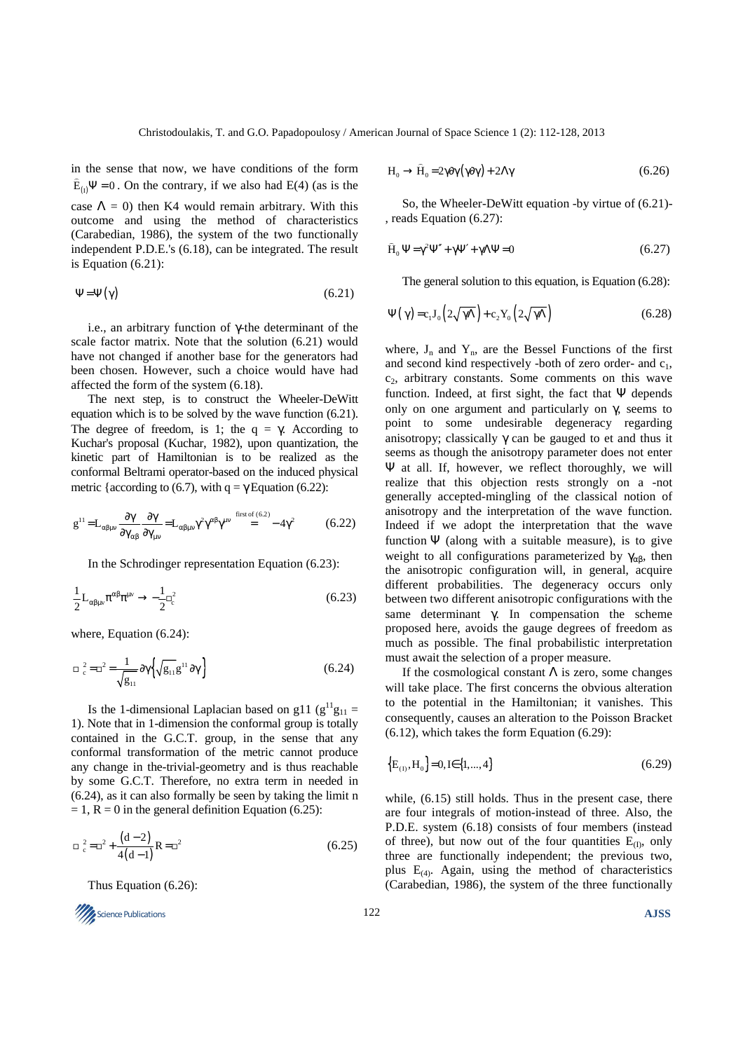in the sense that now, we have conditions of the form  $\hat{E}_{(1)}\Psi = 0$ . On the contrary, if we also had E(4) (as is the

case  $\Lambda = 0$ ) then K4 would remain arbitrary. With this outcome and using the method of characteristics (Carabedian, 1986), the system of the two functionally independent P.D.E.'s (6.18), can be integrated. The result is Equation (6.21):

$$
\Psi = \Psi(\gamma) \tag{6.21}
$$

i.e., an arbitrary function of γ-the determinant of the scale factor matrix. Note that the solution (6.21) would have not changed if another base for the generators had been chosen. However, such a choice would have had affected the form of the system (6.18).

The next step, is to construct the Wheeler-DeWitt equation which is to be solved by the wave function (6.21). The degree of freedom, is 1; the q =  $\gamma$ . According to Kuchar's proposal (Kuchar, 1982), upon quantization, the kinetic part of Hamiltonian is to be realized as the conformal Beltrami operator-based on the induced physical metric {according to (6.7), with  $q = \gamma$  Equation (6.22):

$$
g^{11} = L_{\alpha\beta\mu\nu} \frac{\partial \gamma}{\partial \gamma_{\alpha\beta}} \frac{\partial \gamma}{\partial \gamma_{\mu\nu}} = L_{\alpha\beta\mu\nu} \gamma^2 \gamma^{\alpha\beta} \gamma^{\mu\nu} \stackrel{\text{first of (6.2)}}{=} -4\gamma^2 \tag{6.22}
$$

In the Schrodinger representation Equation (6.23):

$$
\frac{1}{2}L_{\alpha\beta\mu\nu}\pi^{\alpha\beta}\pi^{\mu\nu} \to -\frac{1}{2}L_c^2
$$
\n(6.23)

where, Equation (6.24):

$$
\Box_c^2 = \Box^2 = \frac{1}{\sqrt{g_{11}}} \partial \gamma \left\{ \sqrt{g_{11}} g^{11} \partial \gamma \right\} \tag{6.24}
$$

Is the 1-dimensional Laplacian based on g11 ( $g^{11}g_{11}$  = 1). Note that in 1-dimension the conformal group is totally contained in the G.C.T. group, in the sense that any conformal transformation of the metric cannot produce any change in the-trivial-geometry and is thus reachable by some G.C.T. Therefore, no extra term in needed in (6.24), as it can also formally be seen by taking the limit n  $= 1$ , R = 0 in the general definition Equation (6.25):

$$
\Box_c^2 = \Box^2 + \frac{(d-2)}{4(d-1)} R = \Box^2
$$
 (6.25)

Thus Equation (6.26):



$$
H_0 \to \hat{H}_0 = 2\gamma \partial \gamma (\gamma \partial \gamma) + 2\Lambda \gamma \tag{6.26}
$$

So, the Wheeler-DeWitt equation -by virtue of (6.21)- , reads Equation (6.27):

$$
\hat{H}_0 \Psi = \gamma^2 \Psi'' + \gamma \Psi' + \gamma \Lambda \Psi = 0 \tag{6.27}
$$

The general solution to this equation, is Equation (6.28):

$$
\Psi(\gamma) = c_1 J_0 \left( 2 \sqrt{\gamma \Lambda} \right) + c_2 Y_0 \left( 2 \sqrt{\gamma \Lambda} \right) \tag{6.28}
$$

where,  $J_n$  and  $Y_n$ , are the Bessel Functions of the first and second kind respectively -both of zero order- and  $c_1$ ,  $c<sub>2</sub>$ , arbitrary constants. Some comments on this wave function. Indeed, at first sight, the fact that Ψ depends only on one argument and particularly on γ, seems to point to some undesirable degeneracy regarding anisotropy; classically  $\gamma$  can be gauged to et and thus it seems as though the anisotropy parameter does not enter Ψ at all. If, however, we reflect thoroughly, we will realize that this objection rests strongly on a -not generally accepted-mingling of the classical notion of anisotropy and the interpretation of the wave function. Indeed if we adopt the interpretation that the wave function  $\Psi$  (along with a suitable measure), is to give weight to all configurations parameterized by  $\gamma_{\alpha\beta}$ , then the anisotropic configuration will, in general, acquire different probabilities. The degeneracy occurs only between two different anisotropic configurations with the same determinant γ. In compensation the scheme proposed here, avoids the gauge degrees of freedom as much as possible. The final probabilistic interpretation must await the selection of a proper measure.

If the cosmological constant  $\Lambda$  is zero, some changes will take place. The first concerns the obvious alteration to the potential in the Hamiltonian; it vanishes. This consequently, causes an alteration to the Poisson Bracket (6.12), which takes the form Equation (6.29):

$$
\{E_{(1)}, H_0\} = 0, I \in \{1, ..., 4\}
$$
\n(6.29)

while, (6.15) still holds. Thus in the present case, there are four integrals of motion-instead of three. Also, the P.D.E. system (6.18) consists of four members (instead of three), but now out of the four quantities  $E_{(I)}$ , only three are functionally independent; the previous two, plus  $E_{(4)}$ . Again, using the method of characteristics (Carabedian, 1986), the system of the three functionally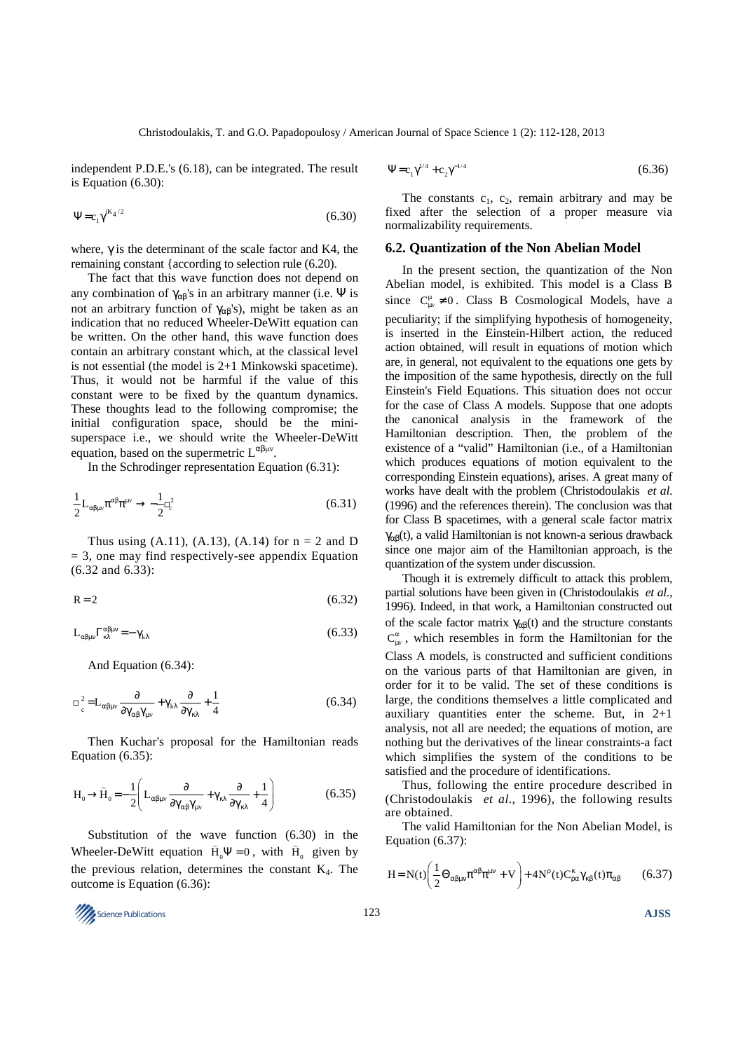independent P.D.E.'s (6.18), can be integrated. The result is Equation (6.30):

$$
\Psi = c_1 \gamma^{iK_4/2} \tag{6.30}
$$

where,  $\gamma$  is the determinant of the scale factor and K4, the remaining constant {according to selection rule (6.20).

The fact that this wave function does not depend on any combination of  $\gamma_{\alpha\beta}$ 's in an arbitrary manner (i.e. Ψ is not an arbitrary function of  $\gamma_{\alpha\beta}$ 's), might be taken as an indication that no reduced Wheeler-DeWitt equation can be written. On the other hand, this wave function does contain an arbitrary constant which, at the classical level is not essential (the model is 2+1 Minkowski spacetime). Thus, it would not be harmful if the value of this constant were to be fixed by the quantum dynamics. These thoughts lead to the following compromise; the initial configuration space, should be the minisuperspace i.e., we should write the Wheeler-DeWitt equation, based on the supermetric  $L^{\alpha\beta\mu\nu}$ .

In the Schrodinger representation Equation (6.31):

$$
\frac{1}{2}L_{\alpha\beta\mu\nu}\pi^{\alpha\beta}\pi^{\mu\nu}\to -\frac{1}{2}\Box_{c}^{2}
$$
\n(6.31)

Thus using  $(A.11)$ ,  $(A.13)$ ,  $(A.14)$  for  $n = 2$  and D  $= 3$ , one may find respectively-see appendix Equation (6.32 and 6.33):

$$
R = 2 \tag{6.32}
$$

$$
L_{\alpha\beta\mu\nu}\Gamma^{\alpha\beta\mu\nu}_{\kappa\lambda} = -\gamma_{\kappa\lambda} \tag{6.33}
$$

And Equation (6.34):

$$
\Box_c^2 = L_{\alpha\beta\mu\nu} \frac{\partial}{\partial \gamma_{\alpha\beta}\gamma_{\mu\nu}} + \gamma_{k\lambda} \frac{\partial}{\partial \gamma_{\kappa\lambda}} + \frac{1}{4}
$$
 (6.34)

Then Kuchar's proposal for the Hamiltonian reads Equation (6.35):

$$
H_0 \to \hat{H}_0 = -\frac{1}{2} \left( L_{\alpha\beta\mu\nu} \frac{\partial}{\partial \gamma_{\alpha\beta} \gamma_{\mu\nu}} + \gamma_{\kappa\lambda} \frac{\partial}{\partial \gamma_{\kappa\lambda}} + \frac{1}{4} \right)
$$
(6.35)

Substitution of the wave function  $(6.30)$  in the Wheeler-DeWitt equation  $\hat{H}_0 \Psi = 0$ , with  $\hat{H}_0$  given by the previous relation, determines the constant  $K<sub>4</sub>$ . The outcome is Equation (6.36):

$$
\Psi = c_1 \gamma^{1/4} + c_2 \gamma^{-1/4} \tag{6.36}
$$

The constants  $c_1$ ,  $c_2$ , remain arbitrary and may be fixed after the selection of a proper measure via normalizability requirements.

#### **6.2. Quantization of the Non Abelian Model**

In the present section, the quantization of the Non Abelian model, is exhibited. This model is a Class B since  $C_{\mu\nu}^{\mu} \neq 0$ . Class B Cosmological Models, have a peculiarity; if the simplifying hypothesis of homogeneity, is inserted in the Einstein-Hilbert action, the reduced action obtained, will result in equations of motion which are, in general, not equivalent to the equations one gets by the imposition of the same hypothesis, directly on the full Einstein's Field Equations. This situation does not occur for the case of Class A models. Suppose that one adopts the canonical analysis in the framework of the Hamiltonian description. Then, the problem of the existence of a "valid" Hamiltonian (i.e., of a Hamiltonian which produces equations of motion equivalent to the corresponding Einstein equations), arises. A great many of works have dealt with the problem (Christodoulakis *et al*. (1996) and the references therein). The conclusion was that for Class B spacetimes, with a general scale factor matrix  $\gamma_{\alpha\beta}(t)$ , a valid Hamiltonian is not known-a serious drawback since one major aim of the Hamiltonian approach, is the quantization of the system under discussion.

Though it is extremely difficult to attack this problem, partial solutions have been given in (Christodoulakis *et al*., 1996). Indeed, in that work, a Hamiltonian constructed out of the scale factor matrix  $\gamma_{\alpha\beta}(t)$  and the structure constants  $C_{\mu\nu}^{\alpha}$ , which resembles in form the Hamiltonian for the Class A models, is constructed and sufficient conditions on the various parts of that Hamiltonian are given, in order for it to be valid. The set of these conditions is large, the conditions themselves a little complicated and auxiliary quantities enter the scheme. But, in 2+1 analysis, not all are needed; the equations of motion, are nothing but the derivatives of the linear constraints-a fact which simplifies the system of the conditions to be satisfied and the procedure of identifications.

Thus, following the entire procedure described in (Christodoulakis *et al*., 1996), the following results are obtained.

The valid Hamiltonian for the Non Abelian Model, is Equation (6.37):

$$
H = N(t) \left( \frac{1}{2} \Theta_{\alpha \beta \mu \nu} \pi^{\alpha \beta} \pi^{\mu \nu} + V \right) + 4N^{\rho}(t) C_{\rho \alpha}^{\kappa} \gamma_{\kappa \beta}(t) \pi_{\alpha \beta} \tag{6.37}
$$

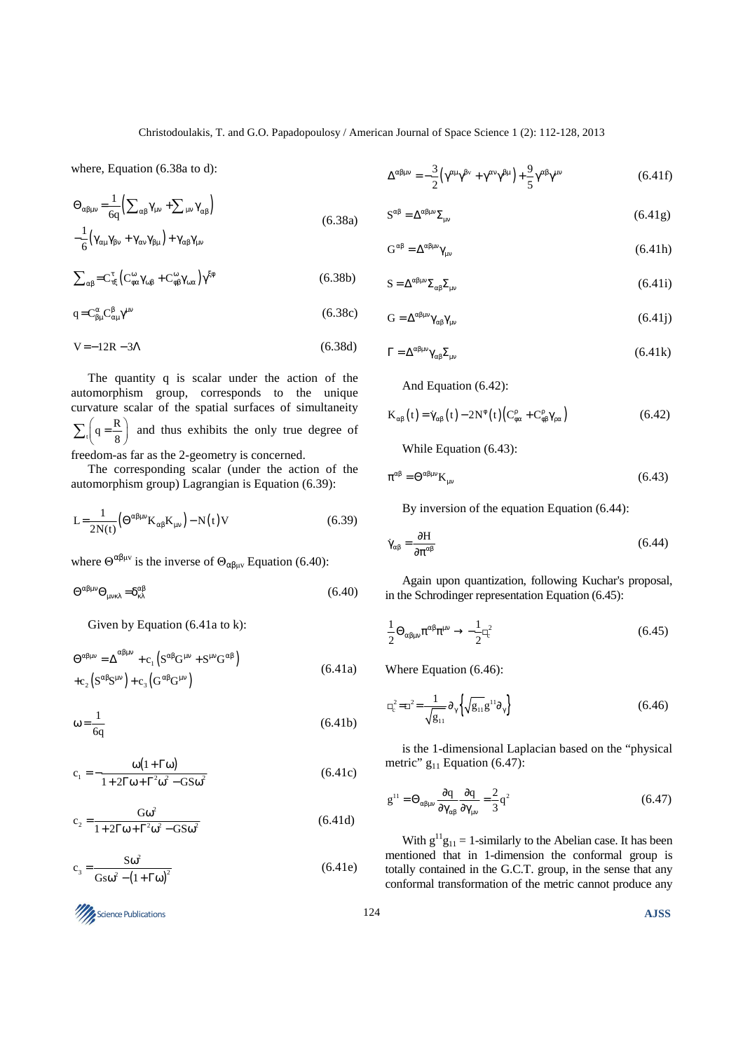where, Equation (6.38a to d):

$$
\Theta_{\alpha\beta\mu\nu} = \frac{1}{6q} \Big( \sum_{\alpha\beta} \gamma_{\mu\nu} + \sum_{\mu\nu} \gamma_{\alpha\beta} \Big)
$$
\n(6.38a)

$$
-\frac{1}{6}(\gamma_{\alpha\mu}\gamma_{\beta\nu}+\gamma_{\alpha\nu}\gamma_{\beta\mu})+\gamma_{\alpha\beta}\gamma_{\mu\nu}
$$

$$
\sum_{\alpha\beta} = C_{\tau\xi}^{\tau} \left( C_{\phi\alpha}^{\omega} \gamma_{\alpha\beta} + C_{\phi\beta}^{\omega} \gamma_{\alpha\alpha} \right) \gamma^{\xi\phi} \tag{6.38b}
$$

$$
q = C^{\alpha}_{\beta\mu} C^{\beta}_{\alpha\mu} \gamma^{\mu\nu} \tag{6.38c}
$$

$$
V = -12R - 3\Lambda \tag{6.38d}
$$

The quantity q is scalar under the action of the automorphism group, corresponds to the unique curvature scalar of the spatial surfaces of simultaneity t  $q = \frac{R}{8}$  $\sum_{i} \left( q = \frac{R}{8} \right)$  and thus exhibits the only true degree of

freedom-as far as the 2-geometry is concerned.

The corresponding scalar (under the action of the automorphism group) Lagrangian is Equation (6.39):

$$
L = \frac{1}{2N(t)} \left( \Theta^{\alpha\beta\mu\nu} K_{\alpha\beta} K_{\mu\nu} \right) - N(t) V \tag{6.39}
$$

where  $\Theta^{\alpha\beta\mu\nu}$  is the inverse of  $\Theta_{\alpha\beta\mu\nu}$  Equation (6.40):

$$
\Theta^{\alpha\beta\mu\nu}\Theta_{\mu\nu\kappa\lambda} = \delta^{\alpha\beta}_{\kappa\lambda} \tag{6.40}
$$

Given by Equation (6.41a to k):

$$
\Theta^{\alpha\beta\mu\nu} = \Delta^{\alpha\beta\mu\nu} + c_1 \left( S^{\alpha\beta} G^{\mu\nu} + S^{\mu\nu} G^{\alpha\beta} \right)
$$
  
+
$$
c_2 \left( S^{\alpha\beta} S^{\mu\nu} \right) + c_3 \left( G^{\alpha\beta} G^{\mu\nu} \right)
$$
 (6.41a)

$$
\omega = \frac{1}{6q} \tag{6.41b}
$$

$$
c_1 = -\frac{\omega(1+\Gamma\omega)}{1+2\Gamma\omega+\Gamma^2\omega^2-GS\omega^2}
$$
 (6.41c)

$$
c_2 = \frac{G\omega^2}{1 + 2\Gamma\omega + \Gamma^2\omega^2 - GS\omega^2}
$$
 (6.41d)

$$
c_3 = \frac{S\omega^2}{Gs\omega^2 - (1 + \Gamma\omega)^2}
$$
 (6.41e)

$$
\frac{1}{24}
$$
 Science Publications

$$
\Delta^{\alpha\beta\mu\nu} = -\frac{3}{2} \left( \gamma^{\alpha\mu} \gamma^{\beta\nu} + \gamma^{\alpha\nu} \gamma^{\beta\mu} \right) + \frac{9}{5} \gamma^{\alpha\beta} \gamma^{\mu\nu} \tag{6.41f}
$$

$$
S^{\alpha\beta} = \Delta^{\alpha\beta\mu\nu} \Sigma_{\mu\nu} \tag{6.41g}
$$

$$
G^{\alpha\beta} = \Delta^{\alpha\beta\mu\nu}\gamma_{\mu\nu} \tag{6.41h}
$$

$$
S = \Delta^{\alpha\beta\mu\nu} \Sigma_{\alpha\beta} \Sigma_{\mu\nu} \tag{6.41i}
$$

$$
G = \Delta^{\alpha\beta\mu\nu}\gamma_{\alpha\beta}\gamma_{\mu\nu} \tag{6.41j}
$$

$$
\Gamma = \Delta^{\alpha\beta\mu\nu} \gamma_{\alpha\beta} \Sigma_{\mu\nu} \tag{6.41k}
$$

And Equation (6.42):

$$
K_{\alpha\beta}(t) = \dot{\gamma}_{\alpha\beta}(t) - 2N^{\phi}(t) \left(C^{\rho}_{\phi\alpha} + C^{\rho}_{\phi\beta} \gamma_{\rho\alpha}\right)
$$
 (6.42)

While Equation (6.43):

$$
\pi^{\alpha\beta} = \Theta^{\alpha\beta\mu\nu} \mathbf{K}_{\mu\nu} \tag{6.43}
$$

By inversion of the equation Equation (6.44):

$$
\dot{\gamma}_{\alpha\beta} = \frac{\partial H}{\partial \pi^{\alpha\beta}} \tag{6.44}
$$

Again upon quantization, following Kuchar's proposal, in the Schrodinger representation Equation (6.45):

$$
\frac{1}{2}\Theta_{\alpha\beta\mu\nu}\pi^{\alpha\beta}\pi^{\mu\nu}\to -\frac{1}{2}\Box_{c}^{2}
$$
\n(6.45)

Where Equation (6.46):

$$
\Box_c^2 = \Box^2 = \frac{1}{\sqrt{g_{11}}} \partial_\gamma \left\{ \sqrt{g_{11}} g^{11} \partial_\gamma \right\} \tag{6.46}
$$

is the 1-dimensional Laplacian based on the "physical metric"  $g_{11}$  Equation (6.47):

$$
g^{11} = \Theta_{\alpha\beta\mu\nu} \frac{\partial q}{\partial \gamma_{\alpha\beta}} \frac{\partial q}{\partial \gamma_{\mu\nu}} = \frac{2}{3} q^2
$$
 (6.47)

With  $g^{11}g_{11} = 1$ -similarly to the Abelian case. It has been mentioned that in 1-dimension the conformal group is totally contained in the G.C.T. group, in the sense that any conformal transformation of the metric cannot produce any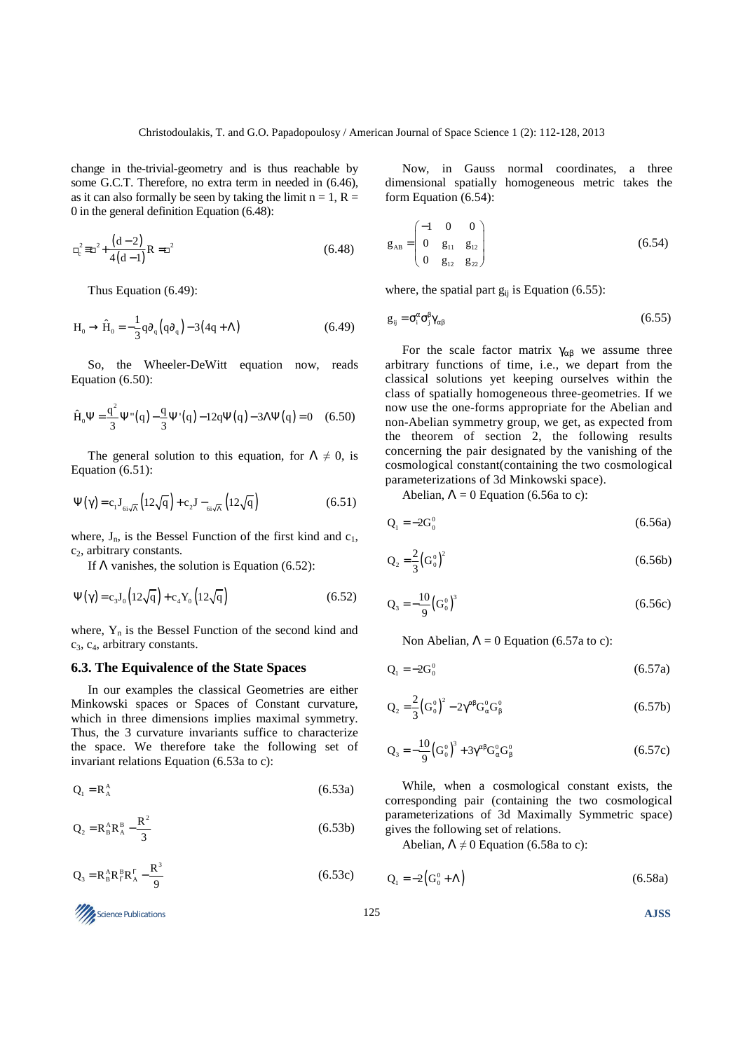change in the-trivial-geometry and is thus reachable by some G.C.T. Therefore, no extra term in needed in (6.46), as it can also formally be seen by taking the limit  $n = 1$ ,  $R =$ 0 in the general definition Equation (6.48):

$$
u_c^2 = u^2 + \frac{(d-2)}{4(d-1)}R = u^2
$$
\n(6.48)

Thus Equation (6.49):

$$
H_0 \to \hat{H}_0 = -\frac{1}{3} q \partial_q (q \partial_q) - 3(4q + \Lambda)
$$
 (6.49)

So, the Wheeler-DeWitt equation now, reads Equation (6.50):

$$
\hat{H}_0 \Psi = \frac{q^2}{3} \Psi''(q) - \frac{q}{3} \Psi'(q) - 12q \Psi(q) - 3\Lambda \Psi(q) = 0 \quad (6.50)
$$

The general solution to this equation, for  $\Lambda \neq 0$ , is Equation (6.51):

$$
\Psi(\gamma) = c_1 J_{6i\sqrt{\Lambda}} \left( 12\sqrt{q} \right) + c_2 J -_{6i\sqrt{\Lambda}} \left( 12\sqrt{q} \right) \tag{6.51}
$$

where,  $J_n$ , is the Bessel Function of the first kind and  $c_1$ , c<sub>2</sub>, arbitrary constants.

If  $\Lambda$  vanishes, the solution is Equation (6.52):

$$
\Psi(\gamma) = c_3 I_0 \left( 12 \sqrt{q} \right) + c_4 Y_0 \left( 12 \sqrt{q} \right)
$$
 (6.52)

where,  $Y_n$  is the Bessel Function of the second kind and c3, c4, arbitrary constants.

#### **6.3. The Equivalence of the State Spaces**

In our examples the classical Geometries are either Minkowski spaces or Spaces of Constant curvature, which in three dimensions implies maximal symmetry. Thus, the 3 curvature invariants suffice to characterize the space. We therefore take the following set of invariant relations Equation (6.53a to c):

$$
Q_1 = R_A^A \tag{6.53a}
$$

$$
Q_2 = R_B^A R_A^B - \frac{R^2}{3}
$$
 (6.53b)

$$
Q_3 = R_B^A R_T^B R_A^T - \frac{R^3}{9}
$$
 (6.53c)

**125 AJSS AJSS** 

Now, in Gauss normal coordinates, a three dimensional spatially homogeneous metric takes the form Equation (6.54):

$$
g_{AB} = \begin{pmatrix} -1 & 0 & 0 \\ 0 & g_{11} & g_{12} \\ 0 & g_{12} & g_{22} \end{pmatrix}
$$
 (6.54)

where, the spatial part  $g_{ii}$  is Equation (6.55):

$$
g_{ij} = \sigma_i^{\alpha} \sigma_j^{\beta} \gamma_{\alpha\beta} \tag{6.55}
$$

For the scale factor matrix  $\gamma_{\alpha\beta}$  we assume three arbitrary functions of time, i.e., we depart from the classical solutions yet keeping ourselves within the class of spatially homogeneous three-geometries. If we now use the one-forms appropriate for the Abelian and non-Abelian symmetry group, we get, as expected from the theorem of section 2, the following results concerning the pair designated by the vanishing of the cosmological constant(containing the two cosmological parameterizations of 3d Minkowski space).

Abelian,  $\Lambda = 0$  Equation (6.56a to c):

$$
Q_1 = -2G_0^0 \t\t(6.56a)
$$

$$
Q_2 = \frac{2}{3} (G_0^0)^2
$$
 (6.56b)

$$
Q_3 = -\frac{10}{9} (G_0^0)^3
$$
 (6.56c)

Non Abelian,  $\Lambda = 0$  Equation (6.57a to c):

$$
\mathbf{Q}_1 = -2\mathbf{G}_0^0 \tag{6.57a}
$$

$$
Q_2 = \frac{2}{3} (G_0^0)^2 - 2 \gamma^{\alpha \beta} G_\alpha^0 G_\beta^0
$$
 (6.57b)

$$
Q_3 = -\frac{10}{9} (G_0^0)^3 + 3\gamma^{\alpha\beta} G_\alpha^0 G_\beta^0
$$
 (6.57c)

While, when a cosmological constant exists, the corresponding pair (containing the two cosmological parameterizations of 3d Maximally Symmetric space) gives the following set of relations.

Abelian,  $\Lambda \neq 0$  Equation (6.58a to c):

$$
Q_1 = -2(G_0^0 + \Lambda) \tag{6.58a}
$$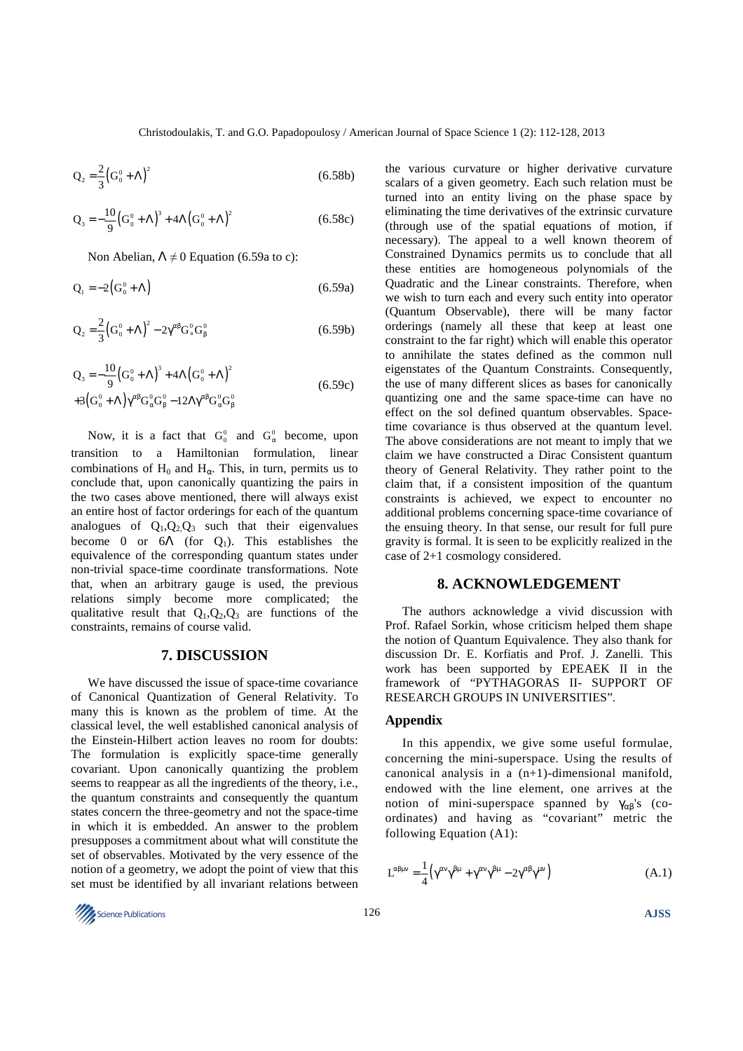$$
Q_2 = \frac{2}{3} (G_0^0 + \Lambda)^2
$$
 (6.58b)

$$
Q_3 = -\frac{10}{9} (G_0^0 + \Lambda)^3 + 4\Lambda (G_0^0 + \Lambda)^2
$$
 (6.58c)

Non Abelian,  $\Lambda \neq 0$  Equation (6.59a to c):

$$
Q_1 = -2(G_0^0 + \Lambda) \tag{6.59a}
$$

$$
Q_2 = \frac{2}{3} (G_0^0 + \Lambda)^2 - 2 \gamma^{\alpha \beta} G_\alpha^0 G_\beta^0
$$
 (6.59b)

$$
Q_3 = -\frac{10}{9} (G_0^0 + \Lambda)^3 + 4\Lambda (G_0^0 + \Lambda)^2
$$
  
+3 $(G_0^0 + \Lambda)\gamma^{\alpha\beta}G_\alpha^0 G_\beta^0 - 12\Lambda\gamma^{\alpha\beta}G_\alpha^0 G_\beta^0$  (6.59c)

Now, it is a fact that  $G_0^0$  and  $G_\alpha^0$  become, upon transition to a Hamiltonian formulation, linear combinations of  $H_0$  and  $H_\alpha$ . This, in turn, permits us to conclude that, upon canonically quantizing the pairs in the two cases above mentioned, there will always exist an entire host of factor orderings for each of the quantum analogues of  $Q_1, Q_2, Q_3$  such that their eigenvalues become 0 or  $6\Lambda$  (for  $Q_1$ ). This establishes the equivalence of the corresponding quantum states under non-trivial space-time coordinate transformations. Note that, when an arbitrary gauge is used, the previous relations simply become more complicated; the qualitative result that  $Q_1, Q_2, Q_3$  are functions of the constraints, remains of course valid.

### **7. DISCUSSION**

We have discussed the issue of space-time covariance of Canonical Quantization of General Relativity. To many this is known as the problem of time. At the classical level, the well established canonical analysis of the Einstein-Hilbert action leaves no room for doubts: The formulation is explicitly space-time generally covariant. Upon canonically quantizing the problem seems to reappear as all the ingredients of the theory, i.e., the quantum constraints and consequently the quantum states concern the three-geometry and not the space-time in which it is embedded. An answer to the problem presupposes a commitment about what will constitute the set of observables. Motivated by the very essence of the notion of a geometry, we adopt the point of view that this set must be identified by all invariant relations between the various curvature or higher derivative curvature scalars of a given geometry. Each such relation must be turned into an entity living on the phase space by eliminating the time derivatives of the extrinsic curvature (through use of the spatial equations of motion, if necessary). The appeal to a well known theorem of Constrained Dynamics permits us to conclude that all these entities are homogeneous polynomials of the Quadratic and the Linear constraints. Therefore, when we wish to turn each and every such entity into operator (Quantum Observable), there will be many factor orderings (namely all these that keep at least one constraint to the far right) which will enable this operator to annihilate the states defined as the common null eigenstates of the Quantum Constraints. Consequently, the use of many different slices as bases for canonically quantizing one and the same space-time can have no effect on the sol defined quantum observables. Spacetime covariance is thus observed at the quantum level. The above considerations are not meant to imply that we claim we have constructed a Dirac Consistent quantum theory of General Relativity. They rather point to the claim that, if a consistent imposition of the quantum constraints is achieved, we expect to encounter no additional problems concerning space-time covariance of the ensuing theory. In that sense, our result for full pure gravity is formal. It is seen to be explicitly realized in the case of 2+1 cosmology considered.

#### **8. ACKNOWLEDGEMENT**

The authors acknowledge a vivid discussion with Prof. Rafael Sorkin, whose criticism helped them shape the notion of Quantum Equivalence. They also thank for discussion Dr. E. Korfiatis and Prof. J. Zanelli. This work has been supported by EPEAEK II in the framework of "PYTHAGORAS II- SUPPORT OF RESEARCH GROUPS IN UNIVERSITIES".

#### **Appendix**

In this appendix, we give some useful formulae, concerning the mini-superspace. Using the results of canonical analysis in a (n+1)-dimensional manifold, endowed with the line element, one arrives at the notion of mini-superspace spanned by  $\gamma_{\alpha\beta}$ 's (coordinates) and having as "covariant" metric the following Equation (A1):

$$
L^{\alpha\beta\mu\nu} = \frac{1}{4} \left( \gamma^{\alpha\nu} \gamma^{\beta\mu} + \gamma^{\alpha\nu} \gamma^{\beta\mu} - 2 \gamma^{\alpha\beta} \gamma^{\mu\nu} \right) \tag{A.1}
$$

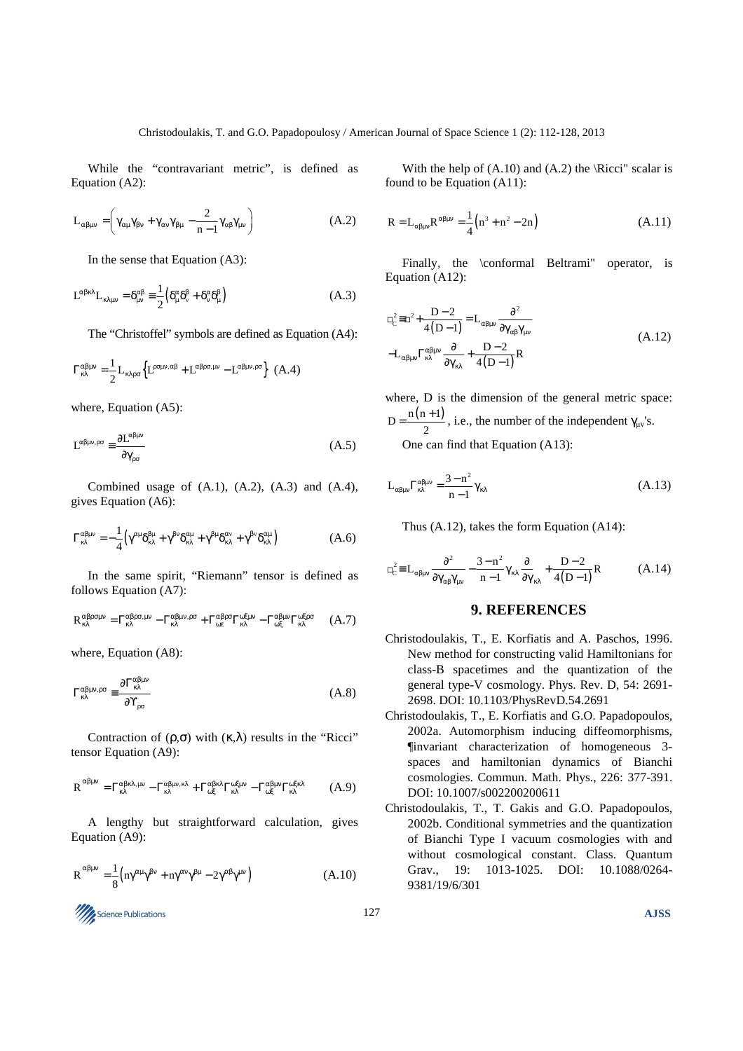While the "contravariant metric", is defined as Equation (A2):

$$
L_{\alpha\beta\mu\nu} = \left(\gamma_{\alpha\mu}\gamma_{\beta\nu} + \gamma_{\alpha\nu}\gamma_{\beta\mu} - \frac{2}{n-1}\gamma_{\alpha\beta}\gamma_{\mu\nu}\right) \tag{A.2}
$$

In the sense that Equation (A3):

$$
L^{\alpha\beta\kappa\lambda}L_{\kappa\lambda\mu\nu} = \delta^{\alpha\beta}_{\mu\nu} \equiv \frac{1}{2} \Big( \delta^{\alpha}_{\mu} \delta^{\beta}_{\nu} + \delta^{\alpha}_{\nu} \delta^{\beta}_{\mu} \Big) \tag{A.3}
$$

The "Christoffel" symbols are defined as Equation (A4):

$$
\Gamma^{\alpha\beta\mu\nu}_{\kappa\lambda}=\frac{1}{2}L_{\kappa\lambda\rho\sigma}\Big\{L^{\rho\sigma\mu\nu,\alpha\beta}+L^{\alpha\beta\rho\sigma,\mu\nu}-L^{\alpha\beta\mu\nu,\rho\sigma}\Big\}\ \, (A.4)
$$

where, Equation (A5):

$$
L^{\alpha\beta\mu\nu,\rho\sigma} \equiv \frac{\partial L^{\alpha\beta\mu\nu}}{\partial \gamma_{\rho\sigma}} \tag{A.5}
$$

Combined usage of  $(A.1)$ ,  $(A.2)$ ,  $(A.3)$  and  $(A.4)$ , gives Equation (A6):

$$
\Gamma^{\alpha\beta\mu\nu}_{\kappa\lambda} = -\frac{1}{4} \Big( \gamma^{\alpha\mu} \delta^{\beta\mu}_{\kappa\lambda} + \gamma^{\beta\nu} \delta^{\alpha\mu}_{\kappa\lambda} + \gamma^{\beta\mu} \delta^{\alpha\nu}_{\kappa\lambda} + \gamma^{\beta\nu} \delta^{\alpha\mu}_{\kappa\lambda} \Big) \tag{A.6}
$$

In the same spirit, "Riemann" tensor is defined as follows Equation (A7):

$$
R^{\alpha\beta\rho\sigma\mu\nu}_{\kappa\lambda}=\Gamma^{\alpha\beta\rho\sigma,\mu\nu}_{\kappa\lambda}-\Gamma^{\alpha\beta\mu\nu,\rho\sigma}_{\kappa\lambda}+\Gamma^{\alpha\beta\rho\sigma}_{\omega\epsilon}\Gamma^{\omega\xi\mu\nu}_{\kappa\lambda}-\Gamma^{\alpha\beta\mu\nu}_{\omega\xi}\Gamma^{\omega\xi\rho\sigma}_{\kappa\lambda} \qquad (A.7)
$$

where, Equation (A8):

$$
\Gamma^{\alpha\beta\mu\nu,\rho\sigma}_{\kappa\lambda} \equiv \frac{\partial \Gamma^{\alpha\beta\mu\nu}_{\kappa\lambda}}{\partial \Upsilon_{\rho\sigma}}
$$
(A.8)

Contraction of  $(\rho, \sigma)$  with  $(\kappa, \lambda)$  results in the "Ricci" tensor Equation (A9):

$$
R^{\alpha\beta\mu\nu}= \Gamma^{\alpha\beta\kappa\lambda,\mu\nu}_{\kappa\lambda} - \Gamma^{\alpha\beta\mu\nu,\kappa\lambda}_{\kappa\lambda} + \Gamma^{\alpha\beta\kappa\lambda}_{\omega\xi} \Gamma^{\omega\xi\mu\nu}_{\kappa\lambda} - \Gamma^{\alpha\beta\mu\nu}_{\omega\xi} \Gamma^{\omega\xi\kappa\lambda}_{\kappa\lambda} \qquad (A.9)
$$

A lengthy but straightforward calculation, gives Equation (A9):

$$
R^{\alpha\beta\mu\nu} = \frac{1}{8} \left( n\gamma^{\alpha\mu}\gamma^{\beta\nu} + n\gamma^{\alpha\nu}\gamma^{\beta\mu} - 2\gamma^{\alpha\beta}\gamma^{\mu\nu} \right)
$$
 (A.10)

With the help of  $(A.10)$  and  $(A.2)$  the \Ricci" scalar is found to be Equation (A11):

$$
R = L_{\alpha\beta\mu\nu} R^{\alpha\beta\mu\nu} = \frac{1}{4} (n^3 + n^2 - 2n)
$$
 (A.11)

Finally, the \conformal Beltrami" operator, is Equation (A12):

$$
L_{c}^{2} = D^{2} + \frac{D - 2}{4(D - 1)} = L_{\alpha\beta\mu\nu} \frac{\partial^{2}}{\partial \gamma_{\alpha\beta} \gamma_{\mu\nu}}
$$
  
-L\_{\alpha\beta\mu\nu} \Gamma\_{\alpha\lambda}^{\alpha\beta\mu\nu} \frac{\partial}{\partial \gamma\_{\kappa\lambda}} + \frac{D - 2}{4(D - 1)} R (A.12)

where, D is the dimension of the general metric space:  $D = \frac{n(n+1)}{2}$  $=\frac{n(n+1)}{2}$ , i.e., the number of the independent  $\gamma_{\mu\nu}$ 's. One can find that Equation (A13):

$$
L_{\alpha\beta\mu\nu}\Gamma_{\kappa\lambda}^{\alpha\beta\mu\nu} = \frac{3-n^2}{n-1}\gamma_{\kappa\lambda}
$$
 (A.13)

Thus (A.12), takes the form Equation (A14):

$$
\Box_{\mathbb{C}}^2 \equiv L_{\alpha\beta\mu\nu} \frac{\partial^2}{\partial \gamma_{\alpha\beta} \gamma_{\mu\nu}} - \frac{3 - n^2}{n - 1} \gamma_{\kappa\lambda} \frac{\partial}{\partial \gamma_{\kappa\lambda}} + \frac{D - 2}{4(D - 1)} R
$$
 (A.14)

### **9. REFERENCES**

- Christodoulakis, T., E. Korfiatis and A. Paschos, 1996. New method for constructing valid Hamiltonians for class-B spacetimes and the quantization of the general type-V cosmology. Phys. Rev. D, 54: 2691- 2698. DOI: 10.1103/PhysRevD.54.2691
- Christodoulakis, T., E. Korfiatis and G.O. Papadopoulos, 2002a. Automorphism inducing diffeomorphisms, ¶invariant characterization of homogeneous 3 spaces and hamiltonian dynamics of Bianchi cosmologies. Commun. Math. Phys., 226: 377-391. DOI: 10.1007/s002200200611
- Christodoulakis, T., T. Gakis and G.O. Papadopoulos, 2002b. Conditional symmetries and the quantization of Bianchi Type I vacuum cosmologies with and without cosmological constant. Class. Quantum Grav., 19: 1013-1025. DOI: 10.1088/0264- 9381/19/6/301